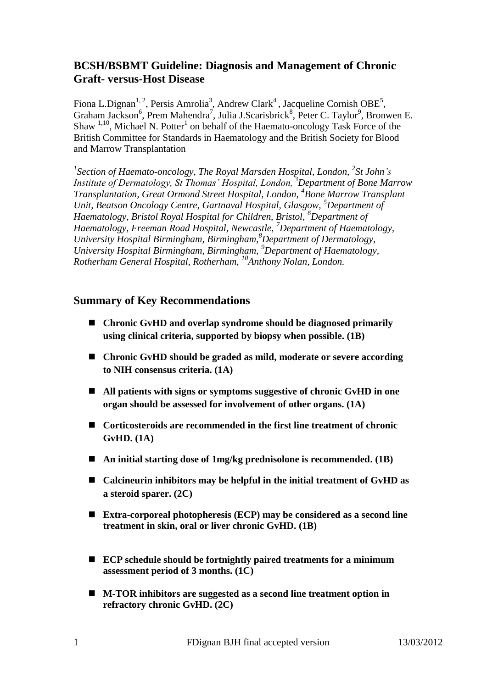## **BCSH/BSBMT Guideline: Diagnosis and Management of Chronic Graft- versus-Host Disease**

Fiona L.Dignan<sup>1, 2</sup>, Persis Amrolia<sup>3</sup>, Andrew Clark<sup>4</sup>, Jacqueline Cornish OBE<sup>5</sup>, Graham Jackson<sup>6</sup>, Prem Mahendra<sup>7</sup>, Julia J.Scarisbrick<sup>8</sup>, Peter C. Taylor<sup>9</sup>, Bronwen E. Shaw  $1,10$ , Michael N. Potter<sup>1</sup> on behalf of the Haemato-oncology Task Force of the British Committee for Standards in Haematology and the British Society for Blood and Marrow Transplantation

<sup>1</sup> Section of Haemato-oncology, The Royal Marsden Hospital, London, <sup>2</sup>St John's *Institute of Dermatology, St Thomas' Hospital, London, <sup>3</sup>Department of Bone Marrow Transplantation, Great Ormond Street Hospital, London, <sup>4</sup> Bone Marrow Transplant Unit, Beatson Oncology Centre, Gartnaval Hospital, Glasgow, <sup>5</sup>Department of Haematology, Bristol Royal Hospital for Children, Bristol, <sup>6</sup>Department of Haematology, Freeman Road Hospital, Newcastle, <sup>7</sup>Department of Haematology, University Hospital Birmingham, Birmingham,<sup>8</sup>Department of Dermatology, University Hospital Birmingham, Birmingham, <sup>9</sup>Department of Haematology, Rotherham General Hospital, Rotherham, <sup>10</sup>Anthony Nolan, London.*

## **Summary of Key Recommendations**

- **Chronic GvHD and overlap syndrome should be diagnosed primarily using clinical criteria, supported by biopsy when possible. (1B)**
- **Chronic GvHD should be graded as mild, moderate or severe according to NIH consensus criteria. (1A)**
- **All patients with signs or symptoms suggestive of chronic GvHD in one organ should be assessed for involvement of other organs. (1A)**
- **Corticosteroids are recommended in the first line treatment of chronic GvHD. (1A)**
- An initial starting dose of 1mg/kg prednisolone is recommended. (1B)
- **Calcineurin inhibitors may be helpful in the initial treatment of GvHD as a steroid sparer. (2C)**
- **Extra-corporeal photopheresis (ECP) may be considered as a second line treatment in skin, oral or liver chronic GvHD. (1B)**
- **ECP schedule should be fortnightly paired treatments for a minimum assessment period of 3 months. (1C)**
- **M-TOR inhibitors are suggested as a second line treatment option in refractory chronic GvHD. (2C)**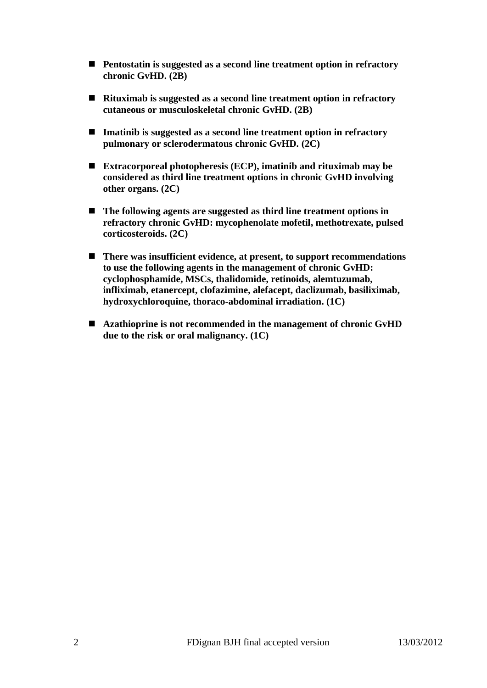- **Pentostatin is suggested as a second line treatment option in refractory chronic GvHD. (2B)**
- **Rituximab is suggested as a second line treatment option in refractory cutaneous or musculoskeletal chronic GvHD. (2B)**
- **Imatinib is suggested as a second line treatment option in refractory pulmonary or sclerodermatous chronic GvHD. (2C)**
- **Extracorporeal photopheresis (ECP), imatinib and rituximab may be considered as third line treatment options in chronic GvHD involving other organs. (2C)**
- The following agents are suggested as third line treatment options in **refractory chronic GvHD: mycophenolate mofetil, methotrexate, pulsed corticosteroids. (2C)**
- There was insufficient evidence, at present, to support recommendations **to use the following agents in the management of chronic GvHD: cyclophosphamide, MSCs, thalidomide, retinoids, alemtuzumab, infliximab, etanercept, clofazimine, alefacept, daclizumab, basiliximab, hydroxychloroquine, thoraco-abdominal irradiation. (1C)**
- **Azathioprine is not recommended in the management of chronic GvHD due to the risk or oral malignancy. (1C)**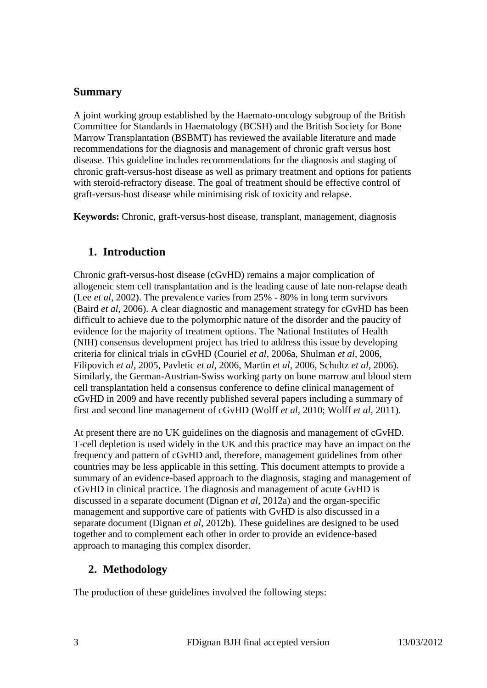## **Summary**

A joint working group established by the Haemato-oncology subgroup of the British Committee for Standards in Haematology (BCSH) and the British Society for Bone Marrow Transplantation (BSBMT) has reviewed the available literature and made recommendations for the diagnosis and management of chronic graft versus host disease. This guideline includes recommendations for the diagnosis and staging of chronic graft-versus-host disease as well as primary treatment and options for patients with steroid-refractory disease. The goal of treatment should be effective control of graft-versus-host disease while minimising risk of toxicity and relapse.

**Keywords:** Chronic, graft-versus-host disease, transplant, management, diagnosis

## **1. Introduction**

Chronic graft-versus-host disease (cGvHD) remains a major complication of allogeneic stem cell transplantation and is the leading cause of late non-relapse death (Lee *et al*, 2002). The prevalence varies from 25% - 80% in long term survivors (Baird *et al*, 2006). A clear diagnostic and management strategy for cGvHD has been difficult to achieve due to the polymorphic nature of the disorder and the paucity of evidence for the majority of treatment options. The National Institutes of Health (NIH) consensus development project has tried to address this issue by developing criteria for clinical trials in cGvHD (Couriel *et al*, 2006a, Shulman *et al,* 2006, Filipovich *et al*, 2005, Pavletic *et al*, 2006, Martin *et al*, 2006, Schultz *et al*, 2006). Similarly, the German-Austrian-Swiss working party on bone marrow and blood stem cell transplantation held a consensus conference to define clinical management of cGvHD in 2009 and have recently published several papers including a summary of first and second line management of cGvHD (Wolff *et al*, 2010; Wolff *et al*, 2011).

At present there are no UK guidelines on the diagnosis and management of cGvHD. T-cell depletion is used widely in the UK and this practice may have an impact on the frequency and pattern of cGvHD and, therefore, management guidelines from other countries may be less applicable in this setting. This document attempts to provide a summary of an evidence-based approach to the diagnosis, staging and management of cGvHD in clinical practice. The diagnosis and management of acute GvHD is discussed in a separate document (Dignan *et al*, 2012a) and the organ-specific management and supportive care of patients with GvHD is also discussed in a separate document (Dignan *et al*, 2012b). These guidelines are designed to be used together and to complement each other in order to provide an evidence-based approach to managing this complex disorder.

## **2. Methodology**

The production of these guidelines involved the following steps: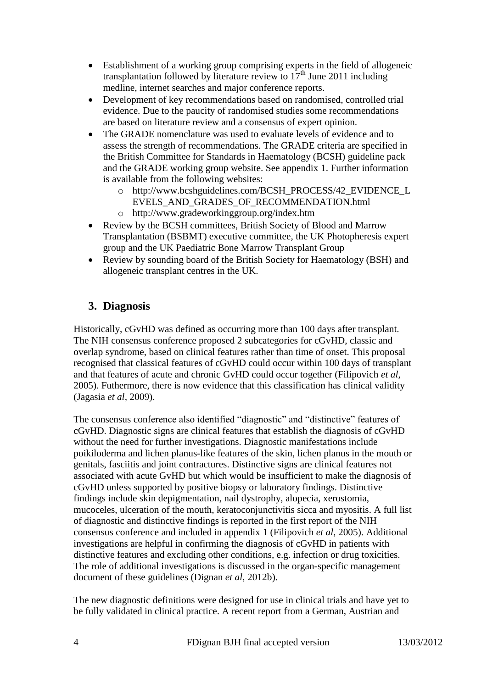- Establishment of a working group comprising experts in the field of allogeneic transplantation followed by literature review to  $17<sup>th</sup>$  June 2011 including medline, internet searches and major conference reports.
- Development of key recommendations based on randomised, controlled trial evidence. Due to the paucity of randomised studies some recommendations are based on literature review and a consensus of expert opinion.
- The GRADE nomenclature was used to evaluate levels of evidence and to assess the strength of recommendations. The GRADE criteria are specified in the British Committee for Standards in Haematology (BCSH) guideline pack and the GRADE working group website. See appendix 1. Further information is available from the following websites:
	- o http://www.bcshguidelines.com/BCSH\_PROCESS/42\_EVIDENCE\_L EVELS\_AND\_GRADES\_OF\_RECOMMENDATION.html
	- o http://www.gradeworkinggroup.org/index.htm
- Review by the BCSH committees, British Society of Blood and Marrow Transplantation (BSBMT) executive committee, the UK Photopheresis expert group and the UK Paediatric Bone Marrow Transplant Group
- Review by sounding board of the British Society for Haematology (BSH) and allogeneic transplant centres in the UK.

# **3. Diagnosis**

Historically, cGvHD was defined as occurring more than 100 days after transplant. The NIH consensus conference proposed 2 subcategories for cGvHD, classic and overlap syndrome, based on clinical features rather than time of onset. This proposal recognised that classical features of cGvHD could occur within 100 days of transplant and that features of acute and chronic GvHD could occur together (Filipovich *et al*, 2005). Futhermore, there is now evidence that this classification has clinical validity (Jagasia *et al,* 2009).

The consensus conference also identified "diagnostic" and "distinctive" features of cGvHD. Diagnostic signs are clinical features that establish the diagnosis of cGvHD without the need for further investigations. Diagnostic manifestations include poikiloderma and lichen planus-like features of the skin, lichen planus in the mouth or genitals, fasciitis and joint contractures. Distinctive signs are clinical features not associated with acute GvHD but which would be insufficient to make the diagnosis of cGvHD unless supported by positive biopsy or laboratory findings. Distinctive findings include skin depigmentation, nail dystrophy, alopecia, xerostomia, mucoceles, ulceration of the mouth, keratoconjunctivitis sicca and myositis. A full list of diagnostic and distinctive findings is reported in the first report of the NIH consensus conference and included in appendix 1 (Filipovich *et al*, 2005). Additional investigations are helpful in confirming the diagnosis of cGvHD in patients with distinctive features and excluding other conditions, e.g. infection or drug toxicities. The role of additional investigations is discussed in the organ-specific management document of these guidelines (Dignan *et al*, 2012b).

The new diagnostic definitions were designed for use in clinical trials and have yet to be fully validated in clinical practice. A recent report from a German, Austrian and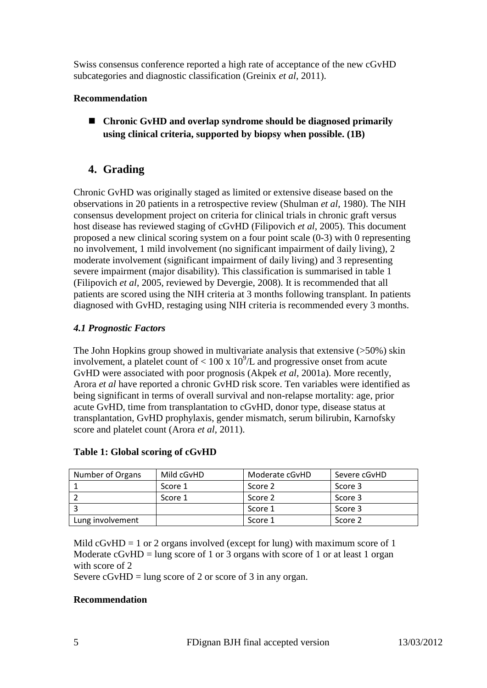Swiss consensus conference reported a high rate of acceptance of the new cGvHD subcategories and diagnostic classification (Greinix *et al*, 2011).

### **Recommendation**

 **Chronic GvHD and overlap syndrome should be diagnosed primarily using clinical criteria, supported by biopsy when possible. (1B)**

## **4. Grading**

Chronic GvHD was originally staged as limited or extensive disease based on the observations in 20 patients in a retrospective review (Shulman *et al*, 1980). The NIH consensus development project on criteria for clinical trials in chronic graft versus host disease has reviewed staging of cGvHD (Filipovich *et al*, 2005). This document proposed a new clinical scoring system on a four point scale (0-3) with 0 representing no involvement, 1 mild involvement (no significant impairment of daily living), 2 moderate involvement (significant impairment of daily living) and 3 representing severe impairment (major disability). This classification is summarised in table 1 (Filipovich *et al*, 2005, reviewed by Devergie, 2008). It is recommended that all patients are scored using the NIH criteria at 3 months following transplant. In patients diagnosed with GvHD, restaging using NIH criteria is recommended every 3 months.

### *4.1 Prognostic Factors*

The John Hopkins group showed in multivariate analysis that extensive (>50%) skin involvement, a platelet count of  $< 100 \times 10^{9}/L$  and progressive onset from acute GvHD were associated with poor prognosis (Akpek *et al*, 2001a). More recently, Arora *et al* have reported a chronic GvHD risk score. Ten variables were identified as being significant in terms of overall survival and non-relapse mortality: age, prior acute GvHD, time from transplantation to cGvHD, donor type, disease status at transplantation, GvHD prophylaxis, gender mismatch, serum bilirubin, Karnofsky score and platelet count (Arora *et al*, 2011).

| Number of Organs | Mild cGvHD | Moderate cGvHD | Severe cGvHD |
|------------------|------------|----------------|--------------|
|                  | Score 1    | Score 2        | Score 3      |
|                  | Score 1    | Score 2        | Score 3      |
|                  |            | Score 1        | Score 3      |
| Lung involvement |            | Score 1        | Score 2      |

### **Table 1: Global scoring of cGvHD**

Mild  $cGvHD = 1$  or 2 organs involved (except for lung) with maximum score of 1 Moderate  $cGvHD = \text{lung score of } 1$  or 3 organs with score of 1 or at least 1 organ with score of 2

Severe  $cGvHD = \text{lung score of 2 or score of 3 in any organ.}$ 

### **Recommendation**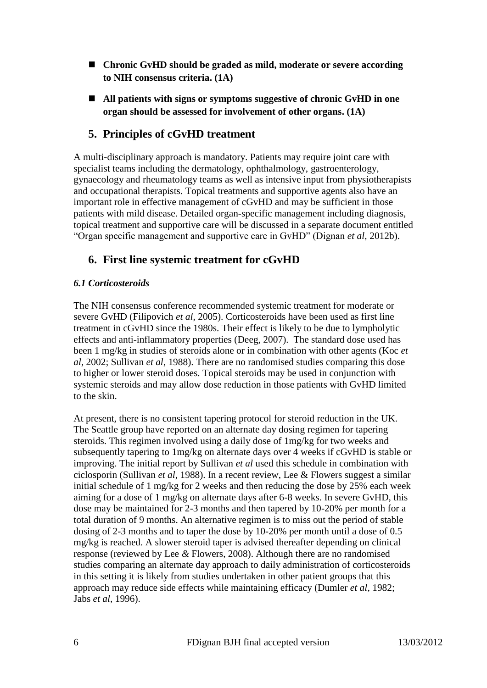- Chronic GvHD should be graded as mild, moderate or severe according **to NIH consensus criteria. (1A)**
- All patients with signs or symptoms suggestive of chronic GvHD in one **organ should be assessed for involvement of other organs. (1A)**

# **5. Principles of cGvHD treatment**

A multi-disciplinary approach is mandatory. Patients may require joint care with specialist teams including the dermatology, ophthalmology, gastroenterology, gynaecology and rheumatology teams as well as intensive input from physiotherapists and occupational therapists. Topical treatments and supportive agents also have an important role in effective management of cGvHD and may be sufficient in those patients with mild disease. Detailed organ-specific management including diagnosis, topical treatment and supportive care will be discussed in a separate document entitled "Organ specific management and supportive care in GvHD" (Dignan *et al*, 2012b).

## **6. First line systemic treatment for cGvHD**

### *6.1 Corticosteroids*

The NIH consensus conference recommended systemic treatment for moderate or severe GvHD (Filipovich *et al*, 2005). Corticosteroids have been used as first line treatment in cGvHD since the 1980s. Their effect is likely to be due to lympholytic effects and anti-inflammatory properties (Deeg, 2007). The standard dose used has been 1 mg/kg in studies of steroids alone or in combination with other agents (Koc *et al,* 2002; Sullivan *et al*, 1988). There are no randomised studies comparing this dose to higher or lower steroid doses. Topical steroids may be used in conjunction with systemic steroids and may allow dose reduction in those patients with GvHD limited to the skin.

At present, there is no consistent tapering protocol for steroid reduction in the UK. The Seattle group have reported on an alternate day dosing regimen for tapering steroids. This regimen involved using a daily dose of 1mg/kg for two weeks and subsequently tapering to 1mg/kg on alternate days over 4 weeks if cGvHD is stable or improving. The initial report by Sullivan *et al* used this schedule in combination with ciclosporin (Sullivan *et al*, 1988). In a recent review, Lee & Flowers suggest a similar initial schedule of 1 mg/kg for 2 weeks and then reducing the dose by 25% each week aiming for a dose of 1 mg/kg on alternate days after 6-8 weeks. In severe GvHD, this dose may be maintained for 2-3 months and then tapered by 10-20% per month for a total duration of 9 months. An alternative regimen is to miss out the period of stable dosing of 2-3 months and to taper the dose by 10-20% per month until a dose of 0.5 mg/kg is reached. A slower steroid taper is advised thereafter depending on clinical response (reviewed by Lee *&* Flowers, 2008). Although there are no randomised studies comparing an alternate day approach to daily administration of corticosteroids in this setting it is likely from studies undertaken in other patient groups that this approach may reduce side effects while maintaining efficacy (Dumler *et al*, 1982; Jabs *et al*, 1996).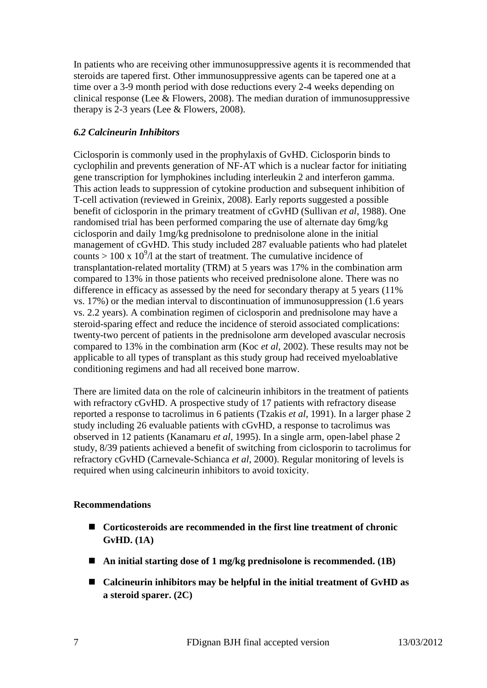In patients who are receiving other immunosuppressive agents it is recommended that steroids are tapered first. Other immunosuppressive agents can be tapered one at a time over a 3-9 month period with dose reductions every 2-4 weeks depending on clinical response (Lee  $&$  Flowers, 2008). The median duration of immunosuppressive therapy is 2-3 years (Lee & Flowers, 2008).

### *6.2 Calcineurin Inhibitors*

Ciclosporin is commonly used in the prophylaxis of GvHD. Ciclosporin binds to cyclophilin and prevents generation of NF-AT which is a nuclear factor for initiating gene transcription for lymphokines including interleukin 2 and interferon gamma. This action leads to suppression of cytokine production and subsequent inhibition of T-cell activation (reviewed in Greinix, 2008). Early reports suggested a possible benefit of ciclosporin in the primary treatment of cGvHD (Sullivan *et al,* 1988). One randomised trial has been performed comparing the use of alternate day 6mg/kg ciclosporin and daily 1mg/kg prednisolone to prednisolone alone in the initial management of cGvHD. This study included 287 evaluable patients who had platelet counts  $> 100 \times 10^9$ /l at the start of treatment. The cumulative incidence of transplantation-related mortality (TRM) at 5 years was 17% in the combination arm compared to 13% in those patients who received prednisolone alone. There was no difference in efficacy as assessed by the need for secondary therapy at 5 years (11%) vs. 17%) or the median interval to discontinuation of immunosuppression (1.6 years vs. 2.2 years). A combination regimen of ciclosporin and prednisolone may have a steroid-sparing effect and reduce the incidence of steroid associated complications: twenty-two percent of patients in the prednisolone arm developed avascular necrosis compared to 13% in the combination arm (Koc *et al*, 2002). These results may not be applicable to all types of transplant as this study group had received myeloablative conditioning regimens and had all received bone marrow.

There are limited data on the role of calcineurin inhibitors in the treatment of patients with refractory cGvHD. A prospective study of 17 patients with refractory disease reported a response to tacrolimus in 6 patients (Tzakis *et al*, 1991). In a larger phase 2 study including 26 evaluable patients with cGvHD, a response to tacrolimus was observed in 12 patients (Kanamaru *et al*, 1995). In a single arm, open-label phase 2 study, 8/39 patients achieved a benefit of switching from ciclosporin to tacrolimus for refractory cGvHD (Carnevale-Schianca *et al*, 2000). Regular monitoring of levels is required when using calcineurin inhibitors to avoid toxicity.

## **Recommendations**

- Corticosteroids are recommended in the first line treatment of chronic **GvHD. (1A)**
- **An initial starting dose of 1 mg/kg prednisolone is recommended. (1B)**
- Calcineurin inhibitors may be helpful in the initial treatment of GvHD as **a steroid sparer. (2C)**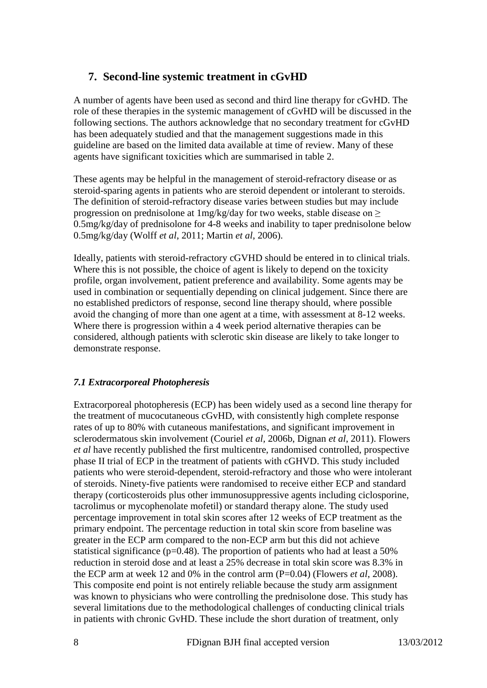## **7. Second-line systemic treatment in cGvHD**

A number of agents have been used as second and third line therapy for cGvHD. The role of these therapies in the systemic management of cGvHD will be discussed in the following sections. The authors acknowledge that no secondary treatment for cGvHD has been adequately studied and that the management suggestions made in this guideline are based on the limited data available at time of review. Many of these agents have significant toxicities which are summarised in table 2.

These agents may be helpful in the management of steroid-refractory disease or as steroid-sparing agents in patients who are steroid dependent or intolerant to steroids. The definition of steroid-refractory disease varies between studies but may include progression on prednisolone at 1mg/kg/day for two weeks, stable disease on ≥ 0.5mg/kg/day of prednisolone for 4-8 weeks and inability to taper prednisolone below 0.5mg/kg/day (Wolff *et al*, 2011; Martin *et al*, 2006).

Ideally, patients with steroid-refractory cGVHD should be entered in to clinical trials. Where this is not possible, the choice of agent is likely to depend on the toxicity profile, organ involvement, patient preference and availability. Some agents may be used in combination or sequentially depending on clinical judgement. Since there are no established predictors of response, second line therapy should, where possible avoid the changing of more than one agent at a time, with assessment at 8-12 weeks. Where there is progression within a 4 week period alternative therapies can be considered, although patients with sclerotic skin disease are likely to take longer to demonstrate response.

### *7.1 Extracorporeal Photopheresis*

Extracorporeal photopheresis (ECP) has been widely used as a second line therapy for the treatment of mucocutaneous cGvHD, with consistently high complete response rates of up to 80% with cutaneous manifestations, and significant improvement in sclerodermatous skin involvement (Couriel *et al,* 2006b, Dignan *et al*, 2011). Flowers *et al* have recently published the first multicentre, randomised controlled, prospective phase II trial of ECP in the treatment of patients with cGHVD. This study included patients who were steroid-dependent, steroid-refractory and those who were intolerant of steroids. Ninety-five patients were randomised to receive either ECP and standard therapy (corticosteroids plus other immunosuppressive agents including ciclosporine, tacrolimus or mycophenolate mofetil) or standard therapy alone. The study used percentage improvement in total skin scores after 12 weeks of ECP treatment as the primary endpoint. The percentage reduction in total skin score from baseline was greater in the ECP arm compared to the non-ECP arm but this did not achieve statistical significance ( $p=0.48$ ). The proportion of patients who had at least a 50% reduction in steroid dose and at least a 25% decrease in total skin score was 8.3% in the ECP arm at week 12 and 0% in the control arm (P=0.04) (Flowers *et al*, 2008). This composite end point is not entirely reliable because the study arm assignment was known to physicians who were controlling the prednisolone dose. This study has several limitations due to the methodological challenges of conducting clinical trials in patients with chronic GvHD. These include the short duration of treatment, only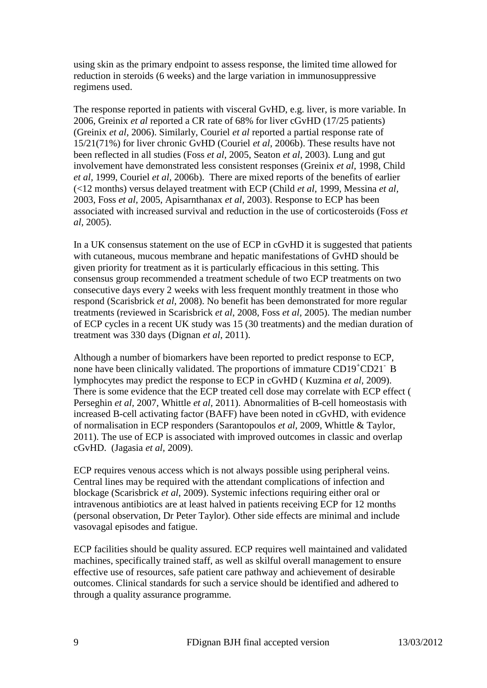using skin as the primary endpoint to assess response, the limited time allowed for reduction in steroids (6 weeks) and the large variation in immunosuppressive regimens used.

The response reported in patients with visceral GvHD, e.g. liver, is more variable. In 2006, Greinix *et al* reported a CR rate of 68% for liver cGvHD (17/25 patients) (Greinix *et al*, 2006). Similarly, Couriel *et al* reported a partial response rate of 15/21(71%) for liver chronic GvHD (Couriel *et al*, 2006b). These results have not been reflected in all studies (Foss *et al*, 2005, Seaton *et al*, 2003). Lung and gut involvement have demonstrated less consistent responses (Greinix *et al,* 1998, Child *et al,* 1999, Couriel *et al,* 2006b). There are mixed reports of the benefits of earlier (<12 months) versus delayed treatment with ECP (Child *et al,* 1999, Messina *et al,* 2003, Foss *et al,* 2005, Apisarnthanax *et al,* 2003). Response to ECP has been associated with increased survival and reduction in the use of corticosteroids (Foss *et al,* 2005).

In a UK consensus statement on the use of ECP in cGvHD it is suggested that patients with cutaneous, mucous membrane and hepatic manifestations of GvHD should be given priority for treatment as it is particularly efficacious in this setting. This consensus group recommended a treatment schedule of two ECP treatments on two consecutive days every 2 weeks with less frequent monthly treatment in those who respond (Scarisbrick *et al*, 2008). No benefit has been demonstrated for more regular treatments (reviewed in Scarisbrick *et al*, 2008, Foss *et al,* 2005). The median number of ECP cycles in a recent UK study was 15 (30 treatments) and the median duration of treatment was 330 days (Dignan *et al*, 2011).

Although a number of biomarkers have been reported to predict response to ECP, none have been clinically validated. The proportions of immature CD19<sup>+</sup>CD21<sup>-</sup> B lymphocytes may predict the response to ECP in cGvHD ( Kuzmina *et al,* 2009). There is some evidence that the ECP treated cell dose may correlate with ECP effect ( Perseghin *et al,* 2007, Whittle *et al,* 2011). Abnormalities of B-cell homeostasis with increased B-cell activating factor (BAFF) have been noted in cGvHD, with evidence of normalisation in ECP responders (Sarantopoulos *et al,* 2009, Whittle & Taylor, 2011). The use of ECP is associated with improved outcomes in classic and overlap cGvHD. (Jagasia *et al,* 2009).

ECP requires venous access which is not always possible using peripheral veins. Central lines may be required with the attendant complications of infection and blockage (Scarisbrick *et al*, 2009). Systemic infections requiring either oral or intravenous antibiotics are at least halved in patients receiving ECP for 12 months (personal observation, Dr Peter Taylor). Other side effects are minimal and include vasovagal episodes and fatigue.

ECP facilities should be quality assured. ECP requires well maintained and validated machines, specifically trained staff, as well as skilful overall management to ensure effective use of resources, safe patient care pathway and achievement of desirable outcomes. Clinical standards for such a service should be identified and adhered to through a quality assurance programme.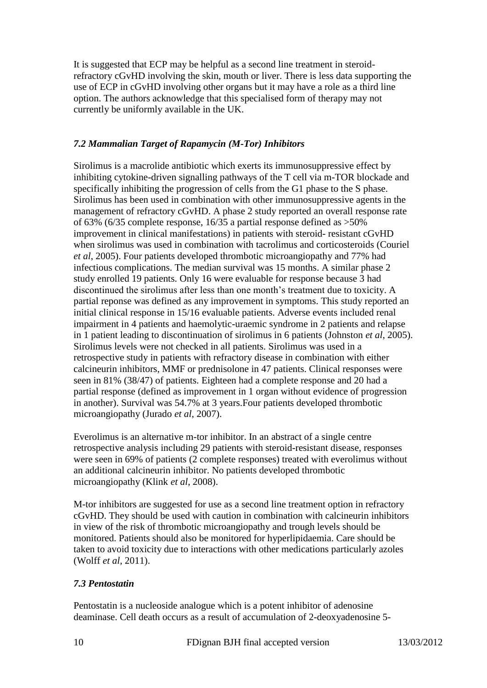It is suggested that ECP may be helpful as a second line treatment in steroidrefractory cGvHD involving the skin, mouth or liver. There is less data supporting the use of ECP in cGvHD involving other organs but it may have a role as a third line option. The authors acknowledge that this specialised form of therapy may not currently be uniformly available in the UK.

### *7.2 Mammalian Target of Rapamycin (M-Tor) Inhibitors*

Sirolimus is a macrolide antibiotic which exerts its immunosuppressive effect by inhibiting cytokine-driven signalling pathways of the T cell via m-TOR blockade and specifically inhibiting the progression of cells from the G1 phase to the S phase. Sirolimus has been used in combination with other immunosuppressive agents in the management of refractory cGvHD. A phase 2 study reported an overall response rate of 63% (6/35 complete response, 16/35 a partial response defined as >50% improvement in clinical manifestations) in patients with steroid- resistant cGvHD when sirolimus was used in combination with tacrolimus and corticosteroids (Couriel *et al*, 2005). Four patients developed thrombotic microangiopathy and 77% had infectious complications. The median survival was 15 months. A similar phase 2 study enrolled 19 patients. Only 16 were evaluable for response because 3 had discontinued the sirolimus after less than one month"s treatment due to toxicity. A partial reponse was defined as any improvement in symptoms. This study reported an initial clinical response in 15/16 evaluable patients. Adverse events included renal impairment in 4 patients and haemolytic-uraemic syndrome in 2 patients and relapse in 1 patient leading to discontinuation of sirolimus in 6 patients (Johnston *et al*, 2005). Sirolimus levels were not checked in all patients. Sirolimus was used in a retrospective study in patients with refractory disease in combination with either calcineurin inhibitors, MMF or prednisolone in 47 patients. Clinical responses were seen in 81% (38/47) of patients. Eighteen had a complete response and 20 had a partial response (defined as improvement in 1 organ without evidence of progression in another). Survival was 54.7% at 3 years.Four patients developed thrombotic microangiopathy (Jurado *et al*, 2007).

Everolimus is an alternative m-tor inhibitor. In an abstract of a single centre retrospective analysis including 29 patients with steroid-resistant disease, responses were seen in 69% of patients (2 complete responses) treated with everolimus without an additional calcineurin inhibitor. No patients developed thrombotic microangiopathy (Klink *et al*, 2008).

M-tor inhibitors are suggested for use as a second line treatment option in refractory cGvHD. They should be used with caution in combination with calcineurin inhibitors in view of the risk of thrombotic microangiopathy and trough levels should be monitored. Patients should also be monitored for hyperlipidaemia. Care should be taken to avoid toxicity due to interactions with other medications particularly azoles (Wolff *et al*, 2011).

## *7.3 Pentostatin*

Pentostatin is a nucleoside analogue which is a potent inhibitor of adenosine deaminase. Cell death occurs as a result of accumulation of 2-deoxyadenosine 5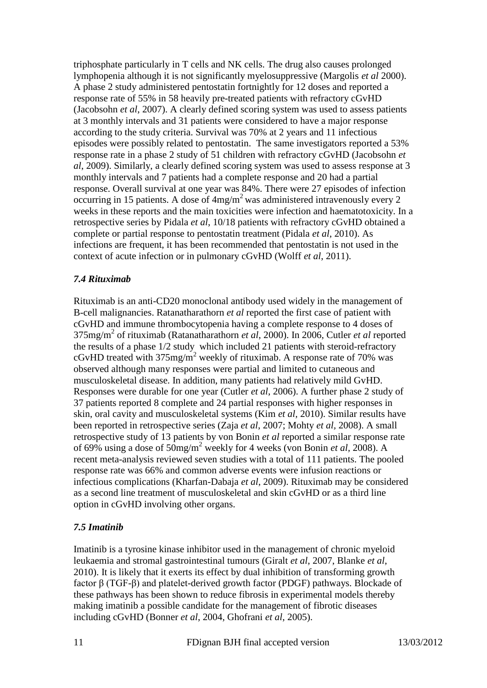triphosphate particularly in T cells and NK cells. The drug also causes prolonged lymphopenia although it is not significantly myelosuppressive (Margolis *et al* 2000). A phase 2 study administered pentostatin fortnightly for 12 doses and reported a response rate of 55% in 58 heavily pre-treated patients with refractory cGvHD (Jacobsohn *et al*, 2007). A clearly defined scoring system was used to assess patients at 3 monthly intervals and 31 patients were considered to have a major response according to the study criteria. Survival was 70% at 2 years and 11 infectious episodes were possibly related to pentostatin. The same investigators reported a 53% response rate in a phase 2 study of 51 children with refractory cGvHD (Jacobsohn *et al*, 2009). Similarly, a clearly defined scoring system was used to assess response at 3 monthly intervals and 7 patients had a complete response and 20 had a partial response. Overall survival at one year was 84%. There were 27 episodes of infection occurring in 15 patients. A dose of  $4mg/m<sup>2</sup>$  was administered intravenously every 2 weeks in these reports and the main toxicities were infection and haematotoxicity. In a retrospective series by Pidala *et al*, 10/18 patients with refractory cGvHD obtained a complete or partial response to pentostatin treatment (Pidala *et al*, 2010). As infections are frequent, it has been recommended that pentostatin is not used in the context of acute infection or in pulmonary cGvHD (Wolff *et al*, 2011).

### *7.4 Rituximab*

Rituximab is an anti-CD20 monoclonal antibody used widely in the management of B-cell malignancies. Ratanatharathorn *et al* reported the first case of patient with cGvHD and immune thrombocytopenia having a complete response to 4 doses of 375mg/m<sup>2</sup> of rituximab (Ratanatharathorn *et al*, 2000). In 2006, Cutler *et al* reported the results of a phase 1/2 study which included 21 patients with steroid-refractory cGvHD treated with  $375mg/m^2$  weekly of rituximab. A response rate of 70% was observed although many responses were partial and limited to cutaneous and musculoskeletal disease. In addition, many patients had relatively mild GvHD. Responses were durable for one year (Cutler *et al*, 2006). A further phase 2 study of 37 patients reported 8 complete and 24 partial responses with higher responses in skin, oral cavity and musculoskeletal systems (Kim *et al,* 2010). Similar results have been reported in retrospective series (Zaja *et al*, 2007; Mohty *et al,* 2008). A small retrospective study of 13 patients by von Bonin *et al* reported a similar response rate of 69% using a dose of 50mg/m<sup>2</sup> weekly for 4 weeks (von Bonin *et al,* 2008). A recent meta-analysis reviewed seven studies with a total of 111 patients. The pooled response rate was 66% and common adverse events were infusion reactions or infectious complications (Kharfan-Dabaja *et al*, 2009). Rituximab may be considered as a second line treatment of musculoskeletal and skin cGvHD or as a third line option in cGvHD involving other organs.

### *7.5 Imatinib*

Imatinib is a tyrosine kinase inhibitor used in the management of chronic myeloid leukaemia and stromal gastrointestinal tumours (Giralt *et al*, 2007, Blanke *et al*, 2010). It is likely that it exerts its effect by dual inhibition of transforming growth factor β (TGF-β) and platelet-derived growth factor (PDGF) pathways. Blockade of these pathways has been shown to reduce fibrosis in experimental models thereby making imatinib a possible candidate for the management of fibrotic diseases including cGvHD (Bonner *et al*, 2004, Ghofrani *et al*, 2005).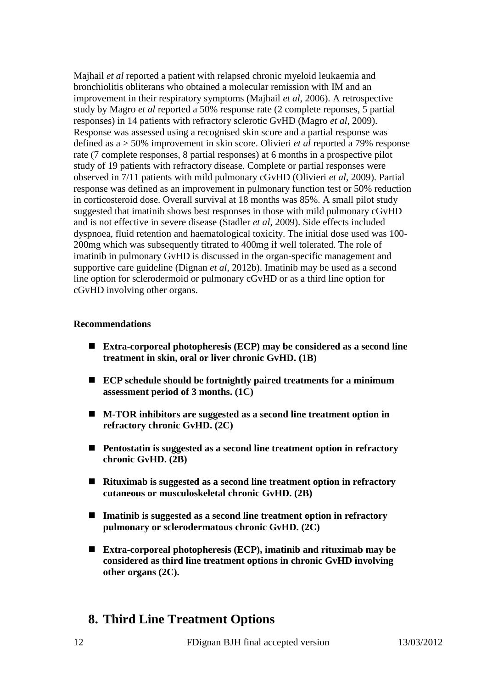Majhail *et al* reported a patient with relapsed chronic myeloid leukaemia and bronchiolitis obliterans who obtained a molecular remission with IM and an improvement in their respiratory symptoms (Majhail *et al*, 2006). A retrospective study by Magro *et al* reported a 50% response rate (2 complete reponses, 5 partial responses) in 14 patients with refractory sclerotic GvHD (Magro *et al*, 2009). Response was assessed using a recognised skin score and a partial response was defined as a > 50% improvement in skin score. Olivieri *et al* reported a 79% response rate (7 complete responses, 8 partial responses) at 6 months in a prospective pilot study of 19 patients with refractory disease. Complete or partial responses were observed in 7/11 patients with mild pulmonary cGvHD (Olivieri *et al*, 2009). Partial response was defined as an improvement in pulmonary function test or 50% reduction in corticosteroid dose. Overall survival at 18 months was 85%. A small pilot study suggested that imatinib shows best responses in those with mild pulmonary cGvHD and is not effective in severe disease (Stadler *et al*, 2009). Side effects included dyspnoea, fluid retention and haematological toxicity. The initial dose used was 100- 200mg which was subsequently titrated to 400mg if well tolerated. The role of imatinib in pulmonary GvHD is discussed in the organ-specific management and supportive care guideline (Dignan *et al*, 2012b). Imatinib may be used as a second line option for sclerodermoid or pulmonary cGvHD or as a third line option for cGvHD involving other organs.

#### **Recommendations**

- **Extra-corporeal photopheresis (ECP) may be considered as a second line treatment in skin, oral or liver chronic GvHD. (1B)**
- **ECP schedule should be fortnightly paired treatments for a minimum assessment period of 3 months. (1C)**
- **M-TOR inhibitors are suggested as a second line treatment option in refractory chronic GvHD. (2C)**
- **Pentostatin is suggested as a second line treatment option in refractory chronic GvHD. (2B)**
- **Rituximab is suggested as a second line treatment option in refractory cutaneous or musculoskeletal chronic GvHD. (2B)**
- **Imatinib is suggested as a second line treatment option in refractory pulmonary or sclerodermatous chronic GvHD. (2C)**
- **Extra-corporeal photopheresis (ECP), imatinib and rituximab may be considered as third line treatment options in chronic GvHD involving other organs (2C).**

# **8. Third Line Treatment Options**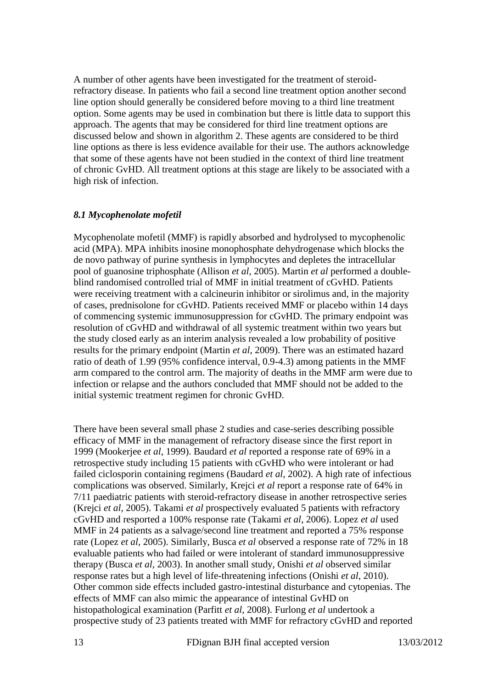A number of other agents have been investigated for the treatment of steroidrefractory disease. In patients who fail a second line treatment option another second line option should generally be considered before moving to a third line treatment option. Some agents may be used in combination but there is little data to support this approach. The agents that may be considered for third line treatment options are discussed below and shown in algorithm 2. These agents are considered to be third line options as there is less evidence available for their use. The authors acknowledge that some of these agents have not been studied in the context of third line treatment of chronic GvHD. All treatment options at this stage are likely to be associated with a high risk of infection.

#### *8.1 Mycophenolate mofetil*

Mycophenolate mofetil (MMF) is rapidly absorbed and hydrolysed to mycophenolic acid (MPA). MPA inhibits inosine monophosphate dehydrogenase which blocks the de novo pathway of purine synthesis in lymphocytes and depletes the intracellular pool of guanosine triphosphate (Allison *et al,* 2005). Martin *et al* performed a doubleblind randomised controlled trial of MMF in initial treatment of cGvHD. Patients were receiving treatment with a calcineurin inhibitor or sirolimus and, in the majority of cases, prednisolone for cGvHD. Patients received MMF or placebo within 14 days of commencing systemic immunosuppression for cGvHD. The primary endpoint was resolution of cGvHD and withdrawal of all systemic treatment within two years but the study closed early as an interim analysis revealed a low probability of positive results for the primary endpoint (Martin *et al*, 2009). There was an estimated hazard ratio of death of 1.99 (95% confidence interval, 0.9-4.3) among patients in the MMF arm compared to the control arm. The majority of deaths in the MMF arm were due to infection or relapse and the authors concluded that MMF should not be added to the initial systemic treatment regimen for chronic GvHD.

There have been several small phase 2 studies and case-series describing possible efficacy of MMF in the management of refractory disease since the first report in 1999 (Mookerjee *et al*, 1999). Baudard *et al* reported a response rate of 69% in a retrospective study including 15 patients with cGvHD who were intolerant or had failed ciclosporin containing regimens (Baudard *et al,* 2002). A high rate of infectious complications was observed. Similarly, Krejci *et al* report a response rate of 64% in 7/11 paediatric patients with steroid-refractory disease in another retrospective series (Krejci *et al,* 2005). Takami *et al* prospectively evaluated 5 patients with refractory cGvHD and resported a 100% response rate (Takami *et al*, 2006). Lopez *et al* used MMF in 24 patients as a salvage/second line treatment and reported a 75% response rate (Lopez *et al*, 2005). Similarly, Busca *et al* observed a response rate of 72% in 18 evaluable patients who had failed or were intolerant of standard immunosuppressive therapy (Busca *et al*, 2003). In another small study, Onishi *et al* observed similar response rates but a high level of life-threatening infections (Onishi *et al*, 2010). Other common side effects included gastro-intestinal disturbance and cytopenias. The effects of MMF can also mimic the appearance of intestinal GvHD on histopathological examination (Parfitt *et al*, 2008). Furlong *et al* undertook a prospective study of 23 patients treated with MMF for refractory cGvHD and reported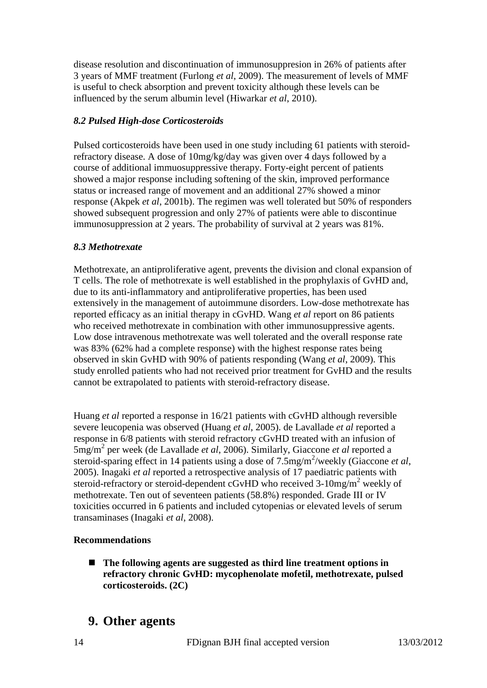disease resolution and discontinuation of immunosuppresion in 26% of patients after 3 years of MMF treatment (Furlong *et al*, 2009). The measurement of levels of MMF is useful to check absorption and prevent toxicity although these levels can be influenced by the serum albumin level (Hiwarkar *et al*, 2010).

### *8.2 Pulsed High-dose Corticosteroids*

Pulsed corticosteroids have been used in one study including 61 patients with steroidrefractory disease. A dose of 10mg/kg/day was given over 4 days followed by a course of additional immuosuppressive therapy. Forty-eight percent of patients showed a major response including softening of the skin, improved performance status or increased range of movement and an additional 27% showed a minor response (Akpek *et al*, 2001b). The regimen was well tolerated but 50% of responders showed subsequent progression and only 27% of patients were able to discontinue immunosuppression at 2 years. The probability of survival at 2 years was 81%.

### *8.3 Methotrexate*

Methotrexate, an antiproliferative agent, prevents the division and clonal expansion of T cells. The role of methotrexate is well established in the prophylaxis of GvHD and, due to its anti-inflammatory and antiproliferative properties, has been used extensively in the management of autoimmune disorders. Low-dose methotrexate has reported efficacy as an initial therapy in cGvHD. Wang *et al* report on 86 patients who received methotrexate in combination with other immunosuppressive agents. Low dose intravenous methotrexate was well tolerated and the overall response rate was 83% (62% had a complete response) with the highest response rates being observed in skin GvHD with 90% of patients responding (Wang *et al*, 2009). This study enrolled patients who had not received prior treatment for GvHD and the results cannot be extrapolated to patients with steroid-refractory disease.

Huang *et al* reported a response in 16/21 patients with cGvHD although reversible severe leucopenia was observed (Huang *et al*, 2005). de Lavallade *et al* reported a response in 6/8 patients with steroid refractory cGvHD treated with an infusion of 5mg/m<sup>2</sup> per week (de Lavallade *et al*, 2006). Similarly, Giaccone *et al* reported a steroid-sparing effect in 14 patients using a dose of 7.5mg/m<sup>2</sup>/weekly (Giaccone *et al*, 2005). Inagaki *et al* reported a retrospective analysis of 17 paediatric patients with steroid-refractory or steroid-dependent cGvHD who received 3-10mg/m<sup>2</sup> weekly of methotrexate. Ten out of seventeen patients (58.8%) responded. Grade III or IV toxicities occurred in 6 patients and included cytopenias or elevated levels of serum transaminases (Inagaki *et al*, 2008).

### **Recommendations**

 **The following agents are suggested as third line treatment options in refractory chronic GvHD: mycophenolate mofetil, methotrexate, pulsed corticosteroids. (2C)**

# **9. Other agents**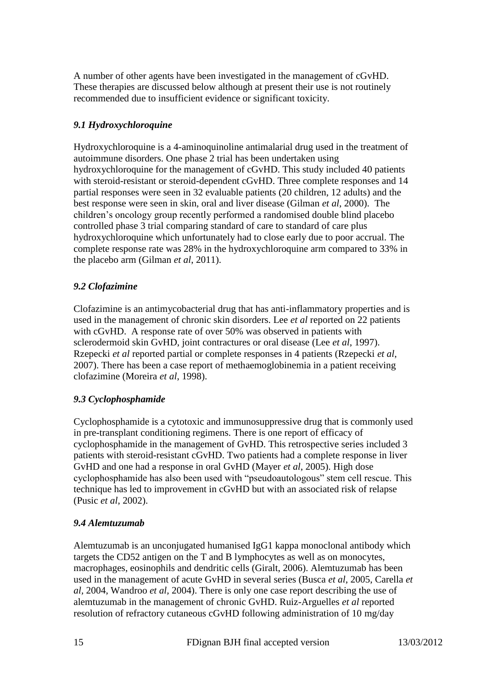A number of other agents have been investigated in the management of cGvHD. These therapies are discussed below although at present their use is not routinely recommended due to insufficient evidence or significant toxicity.

## *9.1 Hydroxychloroquine*

Hydroxychloroquine is a 4-aminoquinoline antimalarial drug used in the treatment of autoimmune disorders. One phase 2 trial has been undertaken using hydroxychloroquine for the management of cGvHD. This study included 40 patients with steroid-resistant or steroid-dependent cGvHD. Three complete responses and 14 partial responses were seen in 32 evaluable patients (20 children, 12 adults) and the best response were seen in skin, oral and liver disease (Gilman *et al*, 2000). The children"s oncology group recently performed a randomised double blind placebo controlled phase 3 trial comparing standard of care to standard of care plus hydroxychloroquine which unfortunately had to close early due to poor accrual. The complete response rate was 28% in the hydroxychloroquine arm compared to 33% in the placebo arm (Gilman *et al*, 2011).

### *9.2 Clofazimine*

Clofazimine is an antimycobacterial drug that has anti-inflammatory properties and is used in the management of chronic skin disorders. Lee *et al* reported on 22 patients with cGvHD. A response rate of over 50% was observed in patients with sclerodermoid skin GvHD, joint contractures or oral disease (Lee *et al*, 1997). Rzepecki *et al* reported partial or complete responses in 4 patients (Rzepecki *et al*, 2007). There has been a case report of methaemoglobinemia in a patient receiving clofazimine (Moreira *et al*, 1998).

### *9.3 Cyclophosphamide*

Cyclophosphamide is a cytotoxic and immunosuppressive drug that is commonly used in pre-transplant conditioning regimens. There is one report of efficacy of cyclophosphamide in the management of GvHD. This retrospective series included 3 patients with steroid-resistant cGvHD. Two patients had a complete response in liver GvHD and one had a response in oral GvHD (Mayer *et al*, 2005). High dose cyclophosphamide has also been used with "pseudoautologous" stem cell rescue. This technique has led to improvement in cGvHD but with an associated risk of relapse (Pusic *et al*, 2002).

### *9.4 Alemtuzumab*

Alemtuzumab is an unconjugated humanised IgG1 kappa monoclonal antibody which targets the CD52 antigen on the T and B lymphocytes as well as on monocytes, macrophages, eosinophils and dendritic cells (Giralt, 2006). Alemtuzumab has been used in the management of acute GvHD in several series (Busca *et al*, 2005, Carella *et al,* 2004, Wandroo *et al,* 2004). There is only one case report describing the use of alemtuzumab in the management of chronic GvHD. Ruiz-Arguelles *et al* reported resolution of refractory cutaneous cGvHD following administration of 10 mg/day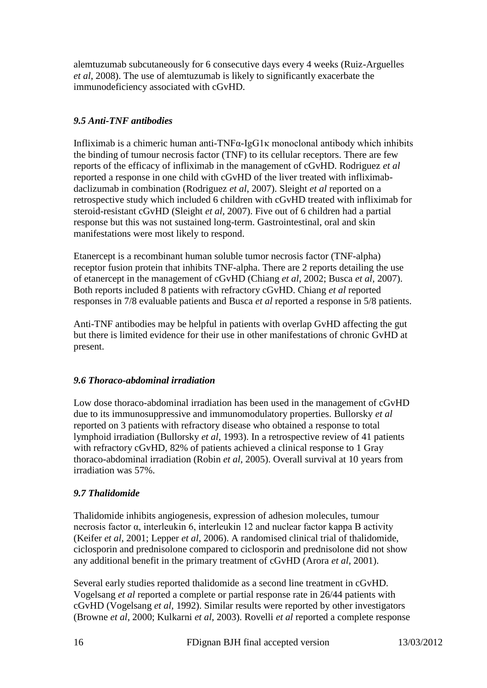alemtuzumab subcutaneously for 6 consecutive days every 4 weeks (Ruiz-Arguelles *et al*, 2008). The use of alemtuzumab is likely to significantly exacerbate the immunodeficiency associated with cGvHD.

## *9.5 Anti-TNF antibodies*

Infliximab is a chimeric human anti-TNFα-IgG1κ monoclonal antibody which inhibits the binding of tumour necrosis factor (TNF) to its cellular receptors. There are few reports of the efficacy of infliximab in the management of cGvHD. Rodriguez *et al* reported a response in one child with cGvHD of the liver treated with infliximabdaclizumab in combination (Rodriguez *et al*, 2007). Sleight *et al* reported on a retrospective study which included 6 children with cGvHD treated with infliximab for steroid-resistant cGvHD (Sleight *et al*, 2007). Five out of 6 children had a partial response but this was not sustained long-term. Gastrointestinal, oral and skin manifestations were most likely to respond.

Etanercept is a recombinant human soluble tumor necrosis factor (TNF-alpha) receptor fusion protein that inhibits TNF-alpha. There are 2 reports detailing the use of etanercept in the management of cGvHD (Chiang *et al*, 2002; Busca *et al*, 2007). Both reports included 8 patients with refractory cGvHD. Chiang *et al* reported responses in 7/8 evaluable patients and Busca *et al* reported a response in 5/8 patients.

Anti-TNF antibodies may be helpful in patients with overlap GvHD affecting the gut but there is limited evidence for their use in other manifestations of chronic GvHD at present.

## *9.6 Thoraco-abdominal irradiation*

Low dose thoraco-abdominal irradiation has been used in the management of cGvHD due to its immunosuppressive and immunomodulatory properties. Bullorsky *et al* reported on 3 patients with refractory disease who obtained a response to total lymphoid irradiation (Bullorsky *et al*, 1993). In a retrospective review of 41 patients with refractory cGvHD, 82% of patients achieved a clinical response to 1 Gray thoraco-abdominal irradiation (Robin *et al*, 2005). Overall survival at 10 years from irradiation was 57%.

## *9.7 Thalidomide*

Thalidomide inhibits angiogenesis, expression of adhesion molecules, tumour necrosis factor α, interleukin 6, interleukin 12 and nuclear factor kappa B activity (Keifer *et al*, 2001; Lepper *et al*, 2006). A randomised clinical trial of thalidomide, ciclosporin and prednisolone compared to ciclosporin and prednisolone did not show any additional benefit in the primary treatment of cGvHD (Arora *et al*, 2001).

Several early studies reported thalidomide as a second line treatment in cGvHD. Vogelsang *et al* reported a complete or partial response rate in 26/44 patients with cGvHD (Vogelsang *et al*, 1992). Similar results were reported by other investigators (Browne *et al*, 2000; Kulkarni *et al*, 2003). Rovelli *et al* reported a complete response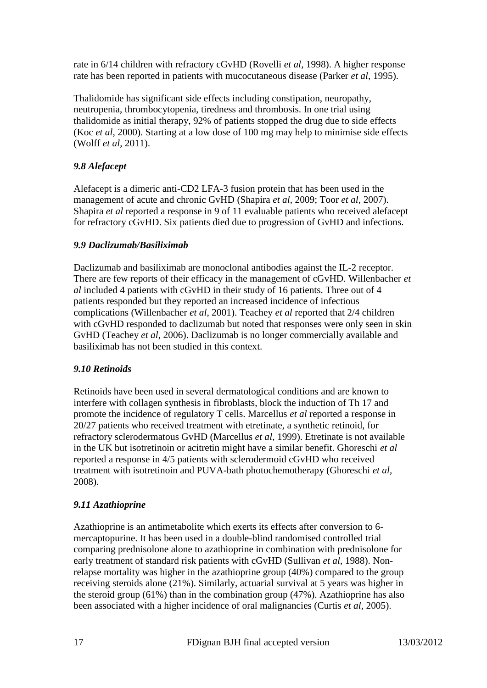rate in 6/14 children with refractory cGvHD (Rovelli *et al*, 1998). A higher response rate has been reported in patients with mucocutaneous disease (Parker *et al*, 1995).

Thalidomide has significant side effects including constipation, neuropathy, neutropenia, thrombocytopenia, tiredness and thrombosis. In one trial using thalidomide as initial therapy, 92% of patients stopped the drug due to side effects (Koc *et al*, 2000). Starting at a low dose of 100 mg may help to minimise side effects (Wolff *et al*, 2011).

## *9.8 Alefacept*

Alefacept is a dimeric anti-CD2 LFA-3 fusion protein that has been used in the management of acute and chronic GvHD (Shapira *et al*, 2009; Toor *et al*, 2007). Shapira *et al* reported a response in 9 of 11 evaluable patients who received alefacept for refractory cGvHD. Six patients died due to progression of GvHD and infections.

### *9.9 Daclizumab/Basiliximab*

Daclizumab and basiliximab are monoclonal antibodies against the IL-2 receptor. There are few reports of their efficacy in the management of cGvHD. Willenbacher *et al* included 4 patients with cGvHD in their study of 16 patients. Three out of 4 patients responded but they reported an increased incidence of infectious complications (Willenbacher *et al*, 2001). Teachey *et al* reported that 2/4 children with cGvHD responded to daclizumab but noted that responses were only seen in skin GvHD (Teachey *et al*, 2006). Daclizumab is no longer commercially available and basiliximab has not been studied in this context.

## *9.10 Retinoids*

Retinoids have been used in several dermatological conditions and are known to interfere with collagen synthesis in fibroblasts, block the induction of Th 17 and promote the incidence of regulatory T cells. Marcellus *et al* reported a response in 20/27 patients who received treatment with etretinate, a synthetic retinoid, for refractory sclerodermatous GvHD (Marcellus *et al*, 1999). Etretinate is not available in the UK but isotretinoin or acitretin might have a similar benefit. Ghoreschi *et al*  reported a response in 4/5 patients with sclerodermoid cGvHD who received treatment with isotretinoin and PUVA-bath photochemotherapy (Ghoreschi *et al,* 2008).

### *9.11 Azathioprine*

Azathioprine is an antimetabolite which exerts its effects after conversion to 6 mercaptopurine. It has been used in a double-blind randomised controlled trial comparing prednisolone alone to azathioprine in combination with prednisolone for early treatment of standard risk patients with cGvHD (Sullivan *et al*, 1988). Nonrelapse mortality was higher in the azathioprine group (40%) compared to the group receiving steroids alone (21%). Similarly, actuarial survival at 5 years was higher in the steroid group (61%) than in the combination group (47%). Azathioprine has also been associated with a higher incidence of oral malignancies (Curtis *et al*, 2005).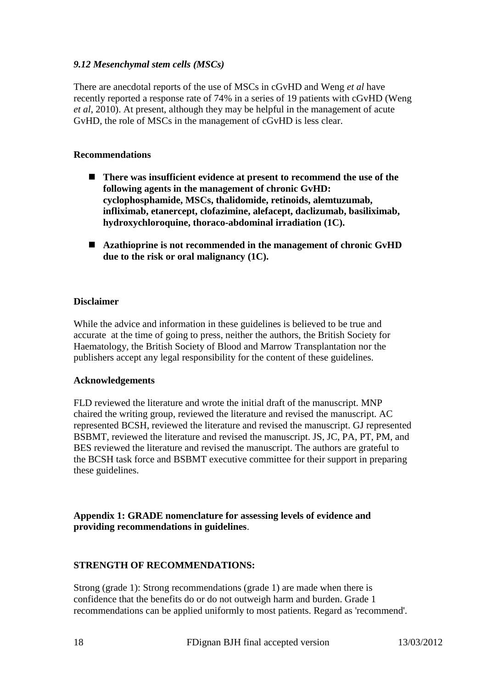### *9.12 Mesenchymal stem cells (MSCs)*

There are anecdotal reports of the use of MSCs in cGvHD and Weng *et al* have recently reported a response rate of 74% in a series of 19 patients with cGvHD (Weng *et al*, 2010). At present, although they may be helpful in the management of acute GvHD, the role of MSCs in the management of cGvHD is less clear.

#### **Recommendations**

- There was insufficient evidence at present to recommend the use of the **following agents in the management of chronic GvHD: cyclophosphamide, MSCs, thalidomide, retinoids, alemtuzumab, infliximab, etanercept, clofazimine, alefacept, daclizumab, basiliximab, hydroxychloroquine, thoraco-abdominal irradiation (1C).**
- **Azathioprine is not recommended in the management of chronic GvHD due to the risk or oral malignancy (1C).**

#### **Disclaimer**

While the advice and information in these guidelines is believed to be true and accurate at the time of going to press, neither the authors, the British Society for Haematology, the British Society of Blood and Marrow Transplantation nor the publishers accept any legal responsibility for the content of these guidelines.

#### **Acknowledgements**

FLD reviewed the literature and wrote the initial draft of the manuscript. MNP chaired the writing group, reviewed the literature and revised the manuscript. AC represented BCSH, reviewed the literature and revised the manuscript. GJ represented BSBMT, reviewed the literature and revised the manuscript. JS, JC, PA, PT, PM, and BES reviewed the literature and revised the manuscript. The authors are grateful to the BCSH task force and BSBMT executive committee for their support in preparing these guidelines.

#### **Appendix 1: GRADE nomenclature for assessing levels of evidence and providing recommendations in guidelines**.

### **STRENGTH OF RECOMMENDATIONS:**

Strong (grade 1): Strong recommendations (grade 1) are made when there is confidence that the benefits do or do not outweigh harm and burden. Grade 1 recommendations can be applied uniformly to most patients. Regard as 'recommend'.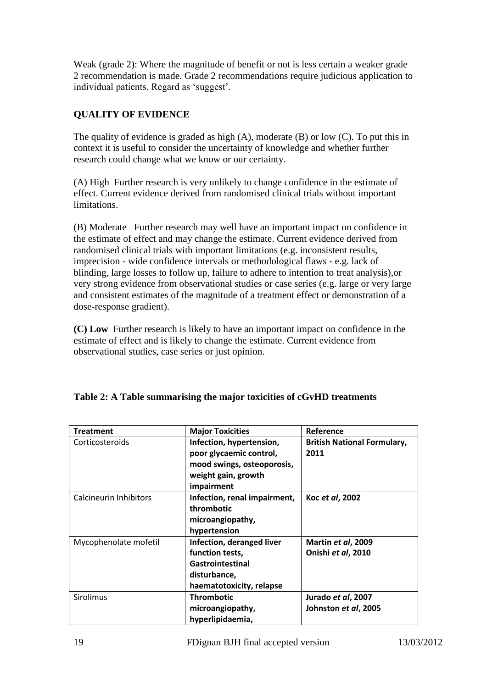Weak (grade 2): Where the magnitude of benefit or not is less certain a weaker grade 2 recommendation is made. Grade 2 recommendations require judicious application to individual patients. Regard as "suggest".

## **QUALITY OF EVIDENCE**

The quality of evidence is graded as high (A), moderate (B) or low (C). To put this in context it is useful to consider the uncertainty of knowledge and whether further research could change what we know or our certainty.

(A) High Further research is very unlikely to change confidence in the estimate of effect. Current evidence derived from randomised clinical trials without important limitations.

(B) Moderate Further research may well have an important impact on confidence in the estimate of effect and may change the estimate. Current evidence derived from randomised clinical trials with important limitations (e.g. inconsistent results, imprecision - wide confidence intervals or methodological flaws - e.g. lack of blinding, large losses to follow up, failure to adhere to intention to treat analysis),or very strong evidence from observational studies or case series (e.g. large or very large and consistent estimates of the magnitude of a treatment effect or demonstration of a dose-response gradient).

**(C) Low** Further research is likely to have an important impact on confidence in the estimate of effect and is likely to change the estimate. Current evidence from observational studies, case series or just opinion.

| <b>Treatment</b>              | <b>Major Toxicities</b>      | Reference                          |
|-------------------------------|------------------------------|------------------------------------|
| Corticosteroids               | Infection, hypertension,     | <b>British National Formulary,</b> |
|                               | poor glycaemic control,      | 2011                               |
|                               | mood swings, osteoporosis,   |                                    |
|                               | weight gain, growth          |                                    |
|                               | impairment                   |                                    |
| <b>Calcineurin Inhibitors</b> | Infection, renal impairment, | Koc et al, 2002                    |
|                               | thrombotic                   |                                    |
|                               | microangiopathy,             |                                    |
|                               | hypertension                 |                                    |
| Mycophenolate mofetil         | Infection, deranged liver    | Martin et al, 2009                 |
|                               | function tests,              | Onishi et al, 2010                 |
|                               | Gastrointestinal             |                                    |
|                               | disturbance,                 |                                    |
|                               | haematotoxicity, relapse     |                                    |
| <b>Sirolimus</b>              | <b>Thrombotic</b>            | Jurado et al, 2007                 |
|                               | microangiopathy,             | Johnston et al, 2005               |
|                               | hyperlipidaemia,             |                                    |

## **Table 2: A Table summarising the major toxicities of cGvHD treatments**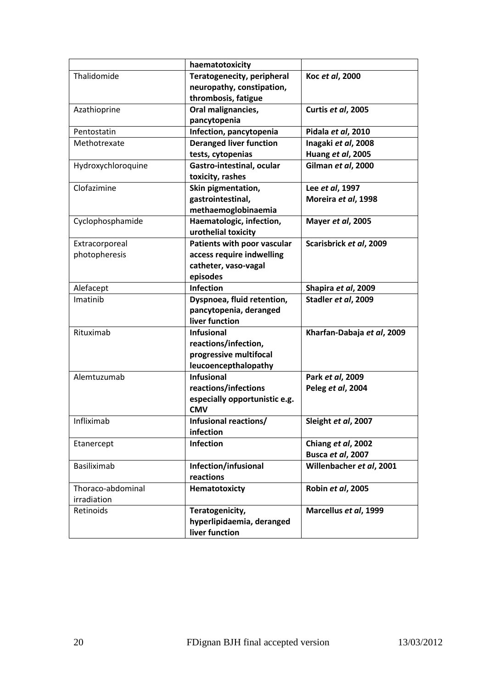|                    | haematotoxicity                |                            |
|--------------------|--------------------------------|----------------------------|
| Thalidomide        | Teratogenecity, peripheral     | Koc et al, 2000            |
|                    | neuropathy, constipation,      |                            |
|                    | thrombosis, fatigue            |                            |
| Azathioprine       | Oral malignancies,             | Curtis et al, 2005         |
|                    | pancytopenia                   |                            |
| Pentostatin        | Infection, pancytopenia        | Pidala et al, 2010         |
| Methotrexate       | <b>Deranged liver function</b> | Inagaki et al, 2008        |
|                    | tests, cytopenias              | Huang et al, 2005          |
| Hydroxychloroquine | Gastro-intestinal, ocular      | Gilman et al, 2000         |
|                    | toxicity, rashes               |                            |
| Clofazimine        | Skin pigmentation,             | Lee et al, 1997            |
|                    | gastrointestinal,              | Moreira et al, 1998        |
|                    | methaemoglobinaemia            |                            |
| Cyclophosphamide   | Haematologic, infection,       | Mayer et al, 2005          |
|                    | urothelial toxicity            |                            |
| Extracorporeal     | Patients with poor vascular    | Scarisbrick et al, 2009    |
| photopheresis      | access require indwelling      |                            |
|                    | catheter, vaso-vagal           |                            |
|                    | episodes                       |                            |
| Alefacept          | <b>Infection</b>               | Shapira et al, 2009        |
| Imatinib           | Dyspnoea, fluid retention,     | Stadler et al, 2009        |
|                    | pancytopenia, deranged         |                            |
|                    | liver function                 |                            |
| Rituximab          | <b>Infusional</b>              | Kharfan-Dabaja et al, 2009 |
|                    | reactions/infection,           |                            |
|                    | progressive multifocal         |                            |
|                    | leucoencepthalopathy           |                            |
| Alemtuzumab        | <b>Infusional</b>              | Park et al, 2009           |
|                    | reactions/infections           | Peleg et al, 2004          |
|                    | especially opportunistic e.g.  |                            |
|                    | <b>CMV</b>                     |                            |
| Infliximab         | Infusional reactions/          | Sleight et al, 2007        |
|                    | infection                      |                            |
| Etanercept         | <b>Infection</b>               | Chiang et al, 2002         |
|                    |                                | Busca et al, 2007          |
| Basiliximab        | Infection/infusional           | Willenbacher et al, 2001   |
|                    | reactions                      |                            |
| Thoraco-abdominal  | Hematotoxicty                  | Robin et al, 2005          |
| irradiation        |                                |                            |
| Retinoids          | Teratogenicity,                | Marcellus et al, 1999      |
|                    | hyperlipidaemia, deranged      |                            |
|                    | liver function                 |                            |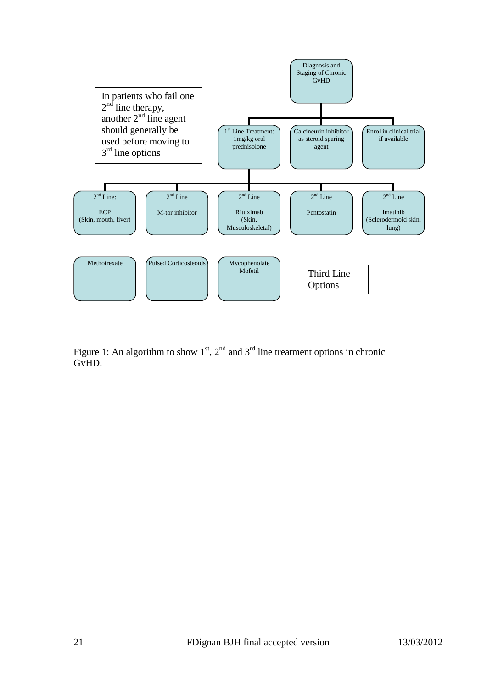

Figure 1: An algorithm to show  $1<sup>st</sup>$ ,  $2<sup>nd</sup>$  and  $3<sup>rd</sup>$  line treatment options in chronic GvHD.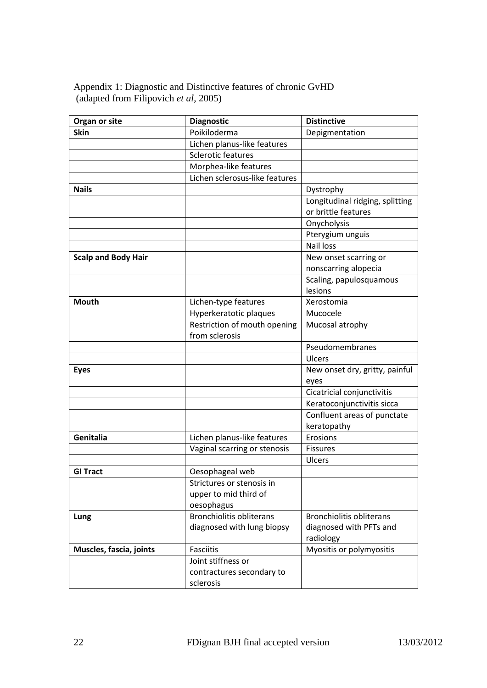Appendix 1: Diagnostic and Distinctive features of chronic GvHD (adapted from Filipovich *et al*, 2005)

| Organ or site              | <b>Diagnostic</b>               | <b>Distinctive</b>              |
|----------------------------|---------------------------------|---------------------------------|
| <b>Skin</b>                | Poikiloderma                    | Depigmentation                  |
|                            | Lichen planus-like features     |                                 |
|                            | <b>Sclerotic features</b>       |                                 |
|                            | Morphea-like features           |                                 |
|                            | Lichen sclerosus-like features  |                                 |
| <b>Nails</b>               |                                 | Dystrophy                       |
|                            |                                 | Longitudinal ridging, splitting |
|                            |                                 | or brittle features             |
|                            |                                 | Onycholysis                     |
|                            |                                 | Pterygium unguis                |
|                            |                                 | <b>Nail loss</b>                |
| <b>Scalp and Body Hair</b> |                                 | New onset scarring or           |
|                            |                                 | nonscarring alopecia            |
|                            |                                 | Scaling, papulosquamous         |
|                            |                                 | lesions                         |
| <b>Mouth</b>               | Lichen-type features            | Xerostomia                      |
|                            | Hyperkeratotic plaques          | Mucocele                        |
|                            | Restriction of mouth opening    | Mucosal atrophy                 |
|                            | from sclerosis                  |                                 |
|                            |                                 | Pseudomembranes                 |
|                            |                                 | Ulcers                          |
| <b>Eyes</b>                |                                 | New onset dry, gritty, painful  |
|                            |                                 | eyes                            |
|                            |                                 | Cicatricial conjunctivitis      |
|                            |                                 | Keratoconjunctivitis sicca      |
|                            |                                 | Confluent areas of punctate     |
|                            |                                 | keratopathy                     |
| Genitalia                  | Lichen planus-like features     | Erosions                        |
|                            | Vaginal scarring or stenosis    | <b>Fissures</b>                 |
|                            |                                 | Ulcers                          |
| <b>GI Tract</b>            | Oesophageal web                 |                                 |
|                            | Strictures or stenosis in       |                                 |
|                            | upper to mid third of           |                                 |
|                            | oesophagus                      |                                 |
| Lung                       | <b>Bronchiolitis obliterans</b> | <b>Bronchiolitis obliterans</b> |
|                            | diagnosed with lung biopsy      | diagnosed with PFTs and         |
|                            |                                 | radiology                       |
| Muscles, fascia, joints    | Fasciitis                       | Myositis or polymyositis        |
|                            | Joint stiffness or              |                                 |
|                            | contractures secondary to       |                                 |
|                            | sclerosis                       |                                 |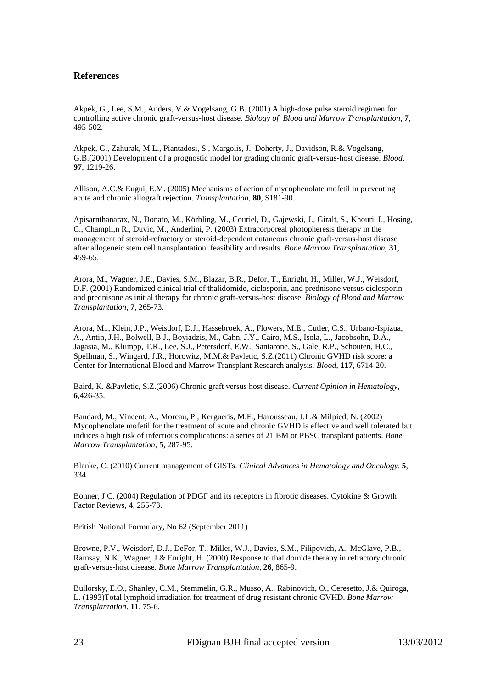#### **References**

[Akpek,](http://www.ncbi.nlm.nih.gov/pubmed?term=%22Akpek%20G%22%5BAuthor%5D) G., Lee, [S.M.,](http://www.ncbi.nlm.nih.gov/pubmed?term=%22Lee%20SM%22%5BAuthor%5D) [Anders,](http://www.ncbi.nlm.nih.gov/pubmed?term=%22Anders%20V%22%5BAuthor%5D) V.& [Vogelsang,](http://www.ncbi.nlm.nih.gov/pubmed?term=%22Vogelsang%20GB%22%5BAuthor%5D) G.B. (2001) A high-dose pulse steroid regimen for controlling active chronic graft-versus-host disease. *[Biology of Blood and Marrow Transplantation,](javascript:AL_get(this,%20)* **7**, 495-502.

Akpek, G., Zahurak, M.L., Piantadosi, S., Margolis, J., Doherty, J., Davidson, R.& Vogelsang, G.B.(2001) [Development of a prognostic model for grading chronic graft-versus-host disease.](http://www.ncbi.nlm.nih.gov/pubmed/11222363) *Blood*, **97**, 1219-26.

Allison, A.C.& Eugui, E.M. (2005) [Mechanisms of action of mycophenolate mofetil in preventing](http://www.ncbi.nlm.nih.gov/pubmed/16251851)  [acute and chronic allograft rejection.](http://www.ncbi.nlm.nih.gov/pubmed/16251851) *Transplantation,* **80**, S181-90.

Apisarnthanarax, N., Donato, M., Körbling, M., Couriel, D., Gajewski, J., Giralt, S., Khouri, I., Hosing, C., Champli,n R., Duvic, M., Anderlini, P. (2003) [Extracorporeal photopheresis therapy in the](http://www.ncbi.nlm.nih.gov/pubmed/12665841?itool=EntrezSystem2.PEntrez.Pubmed.Pubmed_ResultsPanel.Pubmed_RVDocSum&ordinalpos=1)  [management of steroid-refractory or steroid-dependent cutaneous chronic graft-versus-host disease](http://www.ncbi.nlm.nih.gov/pubmed/12665841?itool=EntrezSystem2.PEntrez.Pubmed.Pubmed_ResultsPanel.Pubmed_RVDocSum&ordinalpos=1)  [after allogeneic stem cell transplantation: feasibility and results.](http://www.ncbi.nlm.nih.gov/pubmed/12665841?itool=EntrezSystem2.PEntrez.Pubmed.Pubmed_ResultsPanel.Pubmed_RVDocSum&ordinalpos=1) *Bone Marrow Transplantation*, **31**, 459-65.

Arora, M., Wagner, J.E., Davies, S.M., Blazar, B.R., Defor, T., Enright, H., Miller, W.J., Weisdorf, D.F. (2001) [Randomized clinical trial of thalidomide, ciclosporin, and prednisone versus ciclosporin](http://www.ncbi.nlm.nih.gov/pubmed/11400948) [and prednisone as initial therapy for chronic graft-versus-host disease.](http://www.ncbi.nlm.nih.gov/pubmed/11400948) *Biology of Blood and Marrow Transplantation*, **7**, 265-73.

Arora, M.., Klein, J.P., Weisdorf, D.J., Hassebroek, A., Flowers, M.E., Cutler, C.S., Urbano-Ispizua, A., Antin, J.H., Bolwell, B.J., Boyiadzis, M., Cahn, J.Y., Cairo, M.S., Isola, L., Jacobsohn, D.A., Jagasia, M., Klumpp, T.R., Lee, S.J., Petersdorf, E.W., Santarone, S., Gale, R.P., Schouten, H.C., Spellman, S., Wingard, J.R., Horowitz, M.M.& Pavletic, S.Z.(2011) [Chronic GVHD risk score: a](http://www.ncbi.nlm.nih.gov/pubmed/21493797)  [Center for International Blood and Marrow Transplant Research analysis.](http://www.ncbi.nlm.nih.gov/pubmed/21493797) *Blood*, **117**, 6714-20.

Baird, K. &Pavletic, S.Z.(2006) [Chronic graft versus host disease.](http://www.ncbi.nlm.nih.gov/pubmed/17053454) *Current Opinion in Hematology*, **6**,426-35.

[Baudard,](http://www.ncbi.nlm.nih.gov/pubmed?term=%22Baudard%20M%22%5BAuthor%5D) M., [Vincent,](http://www.ncbi.nlm.nih.gov/pubmed?term=%22Vincent%20A%22%5BAuthor%5D) A.[, Moreau,](http://www.ncbi.nlm.nih.gov/pubmed?term=%22Moreau%20P%22%5BAuthor%5D) P., [Kergueris,](http://www.ncbi.nlm.nih.gov/pubmed?term=%22Kergueris%20MF%22%5BAuthor%5D) M.F.[, Harousseau,](http://www.ncbi.nlm.nih.gov/pubmed?term=%22Harousseau%20JL%22%5BAuthor%5D) J.L.& [Milpied,](http://www.ncbi.nlm.nih.gov/pubmed?term=%22Milpied%20N%22%5BAuthor%5D) N. (2002) Mycophenolate mofetil for the treatment of acute and chronic GVHD is effective and well tolerated but induces a high risk of infectious complications: a series of 21 BM or PBSC transplant patients*. [Bone](javascript:AL_get(this,%20)  [Marrow Transplanta](javascript:AL_get(this,%20)tion*, **5**, 287-95.

Blanke, C. (2010) [Current management of GISTs.](http://www.ncbi.nlm.nih.gov/pubmed/20551892) *Clinical Advances in Hematology and Oncology*. **5**, 334.

Bonner, J.C. (2004) [Regulation of PDGF and its receptors in fibrotic diseases.](http://www.ncbi.nlm.nih.gov/pubmed/15207816) Cytokine & Growth Factor Reviews, **4**, 255-73.

British National Formulary, No 62 (September 2011)

Browne, P.V., Weisdorf, D.J., DeFor, T., Miller, W.J., Davies, S.M., Filipovich, A., McGlave, P.B., Ramsay, N.K., Wagner, J.& Enright, H. (2000) [Response to thalidomide therapy in refractory chronic](http://www.ncbi.nlm.nih.gov/pubmed/11081386)  [graft-versus-host disease.](http://www.ncbi.nlm.nih.gov/pubmed/11081386) *Bone Marrow Transplantation,* **26**, 865-9.

[Bullorsky,](http://www.ncbi.nlm.nih.gov/pubmed?term=%22Bullorsky%20EO%22%5BAuthor%5D) E.O., [Shanley,](http://www.ncbi.nlm.nih.gov/pubmed?term=%22Shanley%20CM%22%5BAuthor%5D) C.M.[, Stemmelin,](http://www.ncbi.nlm.nih.gov/pubmed?term=%22Stemmelin%20GR%22%5BAuthor%5D) G.R., [Musso,](http://www.ncbi.nlm.nih.gov/pubmed?term=%22Musso%20A%22%5BAuthor%5D) A., [Rabinovich,](http://www.ncbi.nlm.nih.gov/pubmed?term=%22Rabinovich%20O%22%5BAuthor%5D) O., [Ceresetto,](http://www.ncbi.nlm.nih.gov/pubmed?term=%22Ceresetto%20J%22%5BAuthor%5D) J.& [Quiroga,](http://www.ncbi.nlm.nih.gov/pubmed?term=%22Quiroga%20L%22%5BAuthor%5D) [L.](http://www.ncbi.nlm.nih.gov/pubmed?term=%22Quiroga%20L%22%5BAuthor%5D) (1993)Total lymphoid irradiation for treatment of drug resistant chronic GVHD. *[Bone Marrow](javascript:AL_get(this,%20)  [Transplantation](javascript:AL_get(this,%20)*. **11**, 75-6.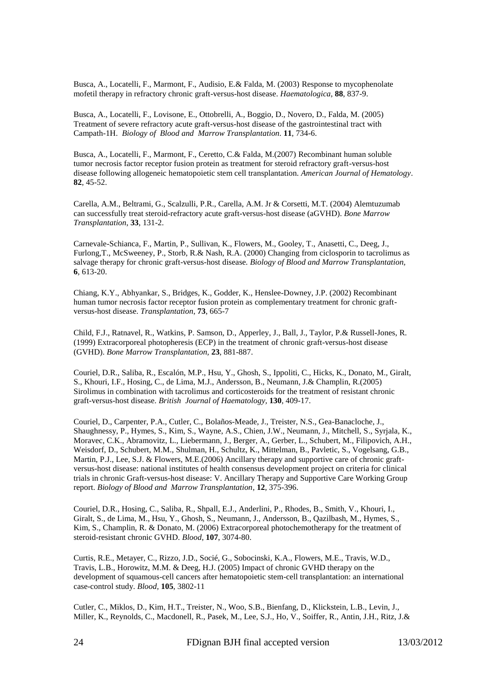Busca, A., Locatelli, F., Marmont, F., Audisio, E.& Falda, M. (2003) [Response to mycophenolate](http://www.ncbi.nlm.nih.gov/pubmed/12857569)  [mofetil therapy in refractory chronic graft-versus-host disease.](http://www.ncbi.nlm.nih.gov/pubmed/12857569) *Haematologica*, **88**, 837-9.

[Busca,](http://www.ncbi.nlm.nih.gov/pubmed?term=%22Busca%20A%22%5BAuthor%5D) A., [Locatelli,](http://www.ncbi.nlm.nih.gov/pubmed?term=%22Locatelli%20F%22%5BAuthor%5D) F., [Lovisone,](http://www.ncbi.nlm.nih.gov/pubmed?term=%22Lovisone%20E%22%5BAuthor%5D) E.[, Ottobrelli,](http://www.ncbi.nlm.nih.gov/pubmed?term=%22Ottobrelli%20A%22%5BAuthor%5D) A., [Boggio,](http://www.ncbi.nlm.nih.gov/pubmed?term=%22Boggio%20D%22%5BAuthor%5D) D., [Novero,](http://www.ncbi.nlm.nih.gov/pubmed?term=%22Novero%20D%22%5BAuthor%5D) D., [Falda,](http://www.ncbi.nlm.nih.gov/pubmed?term=%22Falda%20M%22%5BAuthor%5D) M. (2005) Treatment of severe refractory acute graft-versus-host disease of the gastrointestinal tract with Campath-1H. *Biology of Blood [and Marrow Transplantation.](javascript:AL_get(this,%20)* **11**, 734-6.

Busca, A., Locatelli, F., Marmont, F., Ceretto, C.& Falda, M.(2007[\) Recombinant human soluble](http://www.ncbi.nlm.nih.gov/pubmed/16937391)  [tumor necrosis factor receptor fusion protein as treatment for steroid refractory graft-versus-host](http://www.ncbi.nlm.nih.gov/pubmed/16937391)  [disease following allogeneic hematopoietic stem cell transplantation.](http://www.ncbi.nlm.nih.gov/pubmed/16937391) *American Journal of Hematology*. **82**, 45-52.

Carella, A.M., Beltrami, G., Scalzulli, P.R., Carella, A.M. Jr & Corsetti, M.T. (2004) [Alemtuzumab](http://www.ncbi.nlm.nih.gov/pubmed/14566330)  [can successfully treat steroid-refractory acute graft-versus-host disease \(aGVHD\).](http://www.ncbi.nlm.nih.gov/pubmed/14566330) *Bone Marrow Transplantation*, **33**, 131-2.

[Carnevale-Schianca,](http://www.ncbi.nlm.nih.gov/pubmed?term=%22Carnevale-Schianca%20F%22%5BAuthor%5D) F., [Martin,](http://www.ncbi.nlm.nih.gov/pubmed?term=%22Martin%20P%22%5BAuthor%5D) P., [Sullivan,](http://www.ncbi.nlm.nih.gov/pubmed?term=%22Sullivan%20K%22%5BAuthor%5D) K., [Flowers,](http://www.ncbi.nlm.nih.gov/pubmed?term=%22Flowers%20M%22%5BAuthor%5D) M., [Gooley, T.](http://www.ncbi.nlm.nih.gov/pubmed?term=%22Gooley%20T%22%5BAuthor%5D), [Anasetti,](http://www.ncbi.nlm.nih.gov/pubmed?term=%22Anasetti%20C%22%5BAuthor%5D) C.[, Deeg,](http://www.ncbi.nlm.nih.gov/pubmed?term=%22Deeg%20J%22%5BAuthor%5D) J., [Furlong,T.,](http://www.ncbi.nlm.nih.gov/pubmed?term=%22Furlong%20T%22%5BAuthor%5D) [McSweeney,](http://www.ncbi.nlm.nih.gov/pubmed?term=%22McSweeney%20P%22%5BAuthor%5D) P., [Storb,](http://www.ncbi.nlm.nih.gov/pubmed?term=%22Storb%20R%22%5BAuthor%5D) R.& [Nash,](http://www.ncbi.nlm.nih.gov/pubmed?term=%22Nash%20RA%22%5BAuthor%5D) R.A. (2000) Changing from ciclosporin to tacrolimus as salvage therapy for chronic graft-versus-host disease*. Biology of [Blood and Marrow Transplantation,](javascript:AL_get(this,%20)*  **6***,* 613-20.

Chiang, K.Y., Abhyankar, S., Bridges, K., Godder, K., Henslee-Downey, J.P. (2002) [Recombinant](http://www.ncbi.nlm.nih.gov/pubmed/11889452)  [human tumor necrosis factor receptor fusion protein as](http://www.ncbi.nlm.nih.gov/pubmed/11889452) complementary treatment for chronic graft[versus-host disease.](http://www.ncbi.nlm.nih.gov/pubmed/11889452) *Transplantation*, **73**, 665-7

Child, F.J., Ratnavel, R., Watkins, P. Samson, D., Apperley, J., Ball, J., Taylor, P.& Russell-Jones, R. (1999) Extracorporeal photopheresis (ECP) in the treatment of chronic graft-versus-host disease (GVHD). *Bone Marrow Transplantation,* **23**, 881-887.

[Couriel,](http://www.ncbi.nlm.nih.gov/pubmed?term=%22Couriel%20DR%22%5BAuthor%5D) D.R., [Saliba,](http://www.ncbi.nlm.nih.gov/pubmed?term=%22Saliba%20R%22%5BAuthor%5D) R., [Escalón,](http://www.ncbi.nlm.nih.gov/pubmed?term=%22Escal%C3%B3n%20MP%22%5BAuthor%5D) M.P., [Hsu,](http://www.ncbi.nlm.nih.gov/pubmed?term=%22Hsu%20Y%22%5BAuthor%5D) Y., [Ghosh,](http://www.ncbi.nlm.nih.gov/pubmed?term=%22Ghosh%20S%22%5BAuthor%5D) S., [Ippoliti,](http://www.ncbi.nlm.nih.gov/pubmed?term=%22Ippoliti%20C%22%5BAuthor%5D) C., [Hicks,](http://www.ncbi.nlm.nih.gov/pubmed?term=%22Hicks%20K%22%5BAuthor%5D) K., [Donato,](http://www.ncbi.nlm.nih.gov/pubmed?term=%22Donato%20M%22%5BAuthor%5D) M.[, Giralt,](http://www.ncbi.nlm.nih.gov/pubmed?term=%22Giralt%20S%22%5BAuthor%5D) [S.](http://www.ncbi.nlm.nih.gov/pubmed?term=%22Giralt%20S%22%5BAuthor%5D), [Khouri,](http://www.ncbi.nlm.nih.gov/pubmed?term=%22Khouri%20IF%22%5BAuthor%5D) I.F., [Hosing,](http://www.ncbi.nlm.nih.gov/pubmed?term=%22Hosing%20C%22%5BAuthor%5D) C., [de Lima,](http://www.ncbi.nlm.nih.gov/pubmed?term=%22de%20Lima%20MJ%22%5BAuthor%5D) M.J., [Andersson,](http://www.ncbi.nlm.nih.gov/pubmed?term=%22Andersson%20B%22%5BAuthor%5D) B., [Neumann,](http://www.ncbi.nlm.nih.gov/pubmed?term=%22Neumann%20J%22%5BAuthor%5D) J.& [Champlin, R.](http://www.ncbi.nlm.nih.gov/pubmed?term=%22Champlin%20R%22%5BAuthor%5D)(2005) Sirolimus in combination with tacrolimus and corticosteroids for the treatment of resistant chronic graft-versus-host disease. *[British Journal of](javascript:AL_get(this,%20) Haematology,* **130**, 409-17.

Couriel, D., Carpenter, P.A., Cutler, C., Bolaños-Meade, J., Treister, N.S., Gea-Banacloche, J., Shaughnessy, P., Hymes, S., Kim, S., Wayne, A.S., Chien, J.W., Neumann, J., Mitchell, S., Syrjala, K., Moravec, C.K., Abramovitz, L., Liebermann, J., Berger, A., Gerber, L., Schubert, M., Filipovich, A.H., Weisdorf, D., Schubert, M.M., Shulman, H., Schultz, K., Mittelman, B., Pavletic, S., Vogelsang, G.B., Martin, P.J., Lee, S.J. & Flowers, M.E.(2006) Ancillary therapy and supportive care of chronic graftversus-host disease: national institutes of health consensus development project on criteria for clinical trials in chronic Graft-versus-host disease: V. Ancillary Therapy and Supportive Care Working Group report. *Biology of Blood and Marrow Transplantation*, **12**, 375-396.

[Couriel,](http://www.ncbi.nlm.nih.gov/pubmed?term=%22Couriel%20DR%22%5BAuthor%5D) D.R., [Hosing,](http://www.ncbi.nlm.nih.gov/pubmed?term=%22Hosing%20C%22%5BAuthor%5D) C., [Saliba,](http://www.ncbi.nlm.nih.gov/pubmed?term=%22Saliba%20R%22%5BAuthor%5D) R., Shpall, E.J., Anderlini, P., Rhodes, B., Smith, V., Khouri, I., Giralt, S., de Lima, M., Hsu, Y., Ghosh, S., Neumann, J., Andersson, B., Qazilbash, M., Hymes, S., Kim, S., Champlin, R. & Donato, M. (2006) Extracorporeal photochemotherapy for the treatment of steroid-resistant chronic GVHD. *[Blood](javascript:AL_get(this,%20)*, **107**, 3074-80.

[Curtis,](http://www.ncbi.nlm.nih.gov/pubmed?term=%22Curtis%20RE%22%5BAuthor%5D) R.E., [Metayer,](http://www.ncbi.nlm.nih.gov/pubmed?term=%22Metayer%20C%22%5BAuthor%5D) C.[, Rizzo,](http://www.ncbi.nlm.nih.gov/pubmed?term=%22Rizzo%20JD%22%5BAuthor%5D) J.D., [Socié,](http://www.ncbi.nlm.nih.gov/pubmed?term=%22Soci%C3%A9%20G%22%5BAuthor%5D) G., [Sobocinski,](http://www.ncbi.nlm.nih.gov/pubmed?term=%22Sobocinski%20KA%22%5BAuthor%5D) K.A., [Flowers,](http://www.ncbi.nlm.nih.gov/pubmed?term=%22Flowers%20ME%22%5BAuthor%5D) M.E., [Travis,](http://www.ncbi.nlm.nih.gov/pubmed?term=%22Travis%20WD%22%5BAuthor%5D) W.D., [Travis,](http://www.ncbi.nlm.nih.gov/pubmed?term=%22Travis%20LB%22%5BAuthor%5D) L.B., [Horowitz,](http://www.ncbi.nlm.nih.gov/pubmed?term=%22Horowitz%20MM%22%5BAuthor%5D) M.M. & [Deeg,](http://www.ncbi.nlm.nih.gov/pubmed?term=%22Deeg%20HJ%22%5BAuthor%5D) H.J. (2005) Impact of chronic GVHD therapy on the development of squamous-cell cancers after hematopoietic stem-cell transplantation: an international case-control study. *[Blood,](javascript:AL_get(this,%20)* **105**, 3802-11

Cutler, C., Miklos, D., Kim, H.T., Treister, N., Woo, S.B., Bienfang, D., Klickstein, L.B., Levin, J., Miller, K., Reynolds, C., Macdonell, R., Pasek, M., Lee, S.J., Ho, V., Soiffer, R., Antin, J.H., Ritz, J.&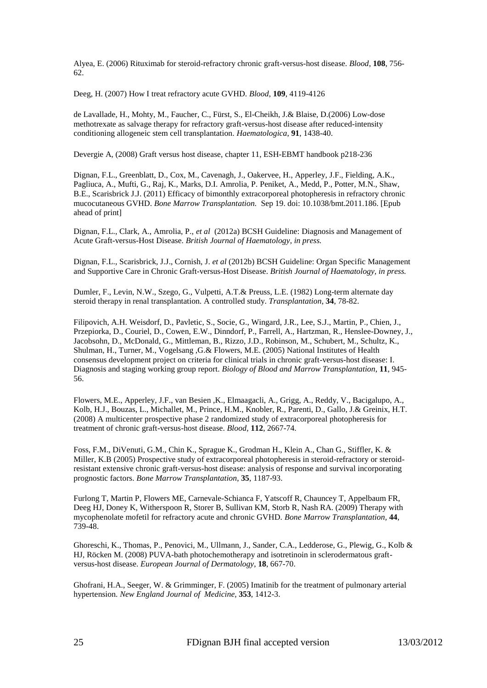Alyea, E. (2006) [Rituximab for steroid-refractory chronic graft-versus-host disease.](http://www.ncbi.nlm.nih.gov/pubmed/16551963) *Blood*, **108**, 756- 62.

Deeg, H. (2007) How I treat refractory acute GVHD. *Blood*, **109**, 4119-4126

de Lavallade, H., Mohty, M., Faucher, C., Fürst, S., El-Cheikh, J.& Blaise, D.(2006) [Low-dose](http://www.ncbi.nlm.nih.gov/pubmed/16963392)  [methotrexate as salvage therapy for refractory graft-versus-host disease after reduced-intensity](http://www.ncbi.nlm.nih.gov/pubmed/16963392)  [conditioning allogeneic stem cell transplantation.](http://www.ncbi.nlm.nih.gov/pubmed/16963392) *Haematologica*, **91**, 1438-40.

Devergie A, (2008) Graft versus host disease, chapter 11, ESH-EBMT handbook p218-236

Dignan, F.L., Greenblatt, D., Cox, M., Cavenagh, J., Oakervee, H., Apperley, J.F., Fielding, A.K., Pagliuca, A., Mufti, G., Raj, K., Marks, D.I. Amrolia, P. Peniket, A., Medd, P., Potter, M.N., Shaw, B.E., Scarisbrick J.J. (2011[\) Efficacy of bimonthly extracorporeal photopheresis in refractory chronic](http://www.ncbi.nlm.nih.gov/pubmed/21927038)  [mucocutaneous GVHD.](http://www.ncbi.nlm.nih.gov/pubmed/21927038) *Bone Marrow Transplantation.* Sep 19. doi: 10.1038/bmt.2011.186. [Epub ahead of print]

Dignan, F.L., Clark, A., Amrolia, P., *et al* (2012a) BCSH Guideline: Diagnosis and Management of Acute Graft-versus-Host Disease. *British Journal of Haematology, in press.*

Dignan, F.L., Scarisbrick, J.J., Cornish, J. *et al* (2012b) BCSH Guideline: Organ Specific Management and Supportive Care in Chronic Graft-versus-Host Disease. *British Journal of Haematology, in press.*

Dumler, F., Levin, N.W., Szego, G., Vulpetti, A.T.& Preuss, L.E. (1982) [Long-term alternate](http://www.ncbi.nlm.nih.gov/pubmed/6753268) day steroid [therapy in renal transplantation. A controlled study.](http://www.ncbi.nlm.nih.gov/pubmed/6753268) *Transplantation*, **34**, 78-82.

Filipovich, A.H. Weisdorf, D., Pavletic, S., Socie, G., Wingard, J.R., Lee, S.J., Martin, P., Chien, J., Przepiorka, D., Couriel, D., Cowen, E.W., Dinndorf, P., Farrell, A., Hartzman, R., Henslee-Downey, J., Jacobsohn, D., McDonald, G., Mittleman, B., Rizzo, J.D., Robinson, M., Schubert, M., Schultz, K., Shulman, H., Turner, M., Vogelsang ,G.& Flowers, M.E. (2005) [National Institutes of Health](http://www.ncbi.nlm.nih.gov/pubmed/16338616)  [consensus development project on criteria for clinical trials in chronic graft-versus-host disease: I.](http://www.ncbi.nlm.nih.gov/pubmed/16338616)  [Diagnosis and staging working group report.](http://www.ncbi.nlm.nih.gov/pubmed/16338616) *Biology of Blood and Marrow Transplantation*, **11**, 945- 56.

Flowers, M.E., Apperley, J.F., van Besien ,K., Elmaagacli, A., Grigg, A., Reddy, V., Bacigalupo, A., Kolb, H.J., Bouzas, L., Michallet, M., Prince, H.M., Knobler, R., Parenti, D., Gallo, J.& Greinix, H.T. (2008) [A multicenter prospective phase 2 randomized study of extracorporeal photopheresis for](http://www.ncbi.nlm.nih.gov/pubmed/18621929?itool=EntrezSystem2.PEntrez.Pubmed.Pubmed_ResultsPanel.Pubmed_RVDocSum&ordinalpos=1)  [treatment of chronic graft-versus-host disease.](http://www.ncbi.nlm.nih.gov/pubmed/18621929?itool=EntrezSystem2.PEntrez.Pubmed.Pubmed_ResultsPanel.Pubmed_RVDocSum&ordinalpos=1) *Blood*, **112**, 2667-74.

Foss, F.M., DiVenuti, G.M., Chin K., Sprague K., Grodman H., Klein A., Chan G., Stiffler, K. & Miller, K.B (2005) [Prospective study of extracorporeal photopheresis in steroid-refractory or steroid](http://www.ncbi.nlm.nih.gov/pubmed/15852025?itool=EntrezSystem2.PEntrez.Pubmed.Pubmed_ResultsPanel.Pubmed_RVDocSum&ordinalpos=4)[resistant extensive chronic graft-versus-host disease: analysis of response and survival incorporating](http://www.ncbi.nlm.nih.gov/pubmed/15852025?itool=EntrezSystem2.PEntrez.Pubmed.Pubmed_ResultsPanel.Pubmed_RVDocSum&ordinalpos=4)  [prognostic factors.](http://www.ncbi.nlm.nih.gov/pubmed/15852025?itool=EntrezSystem2.PEntrez.Pubmed.Pubmed_ResultsPanel.Pubmed_RVDocSum&ordinalpos=4) *Bone Marrow Transplantation*, **35**, 1187-93.

[Furlong](http://www.ncbi.nlm.nih.gov/pubmed?term=%22Furlong%20T%22%5BAuthor%5D) T, [Martin P,](http://www.ncbi.nlm.nih.gov/pubmed?term=%22Martin%20P%22%5BAuthor%5D) [Flowers ME,](http://www.ncbi.nlm.nih.gov/pubmed?term=%22Flowers%20ME%22%5BAuthor%5D) [Carnevale-Schianca F,](http://www.ncbi.nlm.nih.gov/pubmed?term=%22Carnevale-Schianca%20F%22%5BAuthor%5D) [Yatscoff R,](http://www.ncbi.nlm.nih.gov/pubmed?term=%22Yatscoff%20R%22%5BAuthor%5D) [Chauncey T,](http://www.ncbi.nlm.nih.gov/pubmed?term=%22Chauncey%20T%22%5BAuthor%5D) [Appelbaum FR,](http://www.ncbi.nlm.nih.gov/pubmed?term=%22Appelbaum%20FR%22%5BAuthor%5D) [Deeg HJ,](http://www.ncbi.nlm.nih.gov/pubmed?term=%22Deeg%20HJ%22%5BAuthor%5D) [Doney K,](http://www.ncbi.nlm.nih.gov/pubmed?term=%22Doney%20K%22%5BAuthor%5D) [Witherspoon R,](http://www.ncbi.nlm.nih.gov/pubmed?term=%22Witherspoon%20R%22%5BAuthor%5D) [Storer B,](http://www.ncbi.nlm.nih.gov/pubmed?term=%22Storer%20B%22%5BAuthor%5D) [Sullivan KM,](http://www.ncbi.nlm.nih.gov/pubmed?term=%22Sullivan%20KM%22%5BAuthor%5D) [Storb R,](http://www.ncbi.nlm.nih.gov/pubmed?term=%22Storb%20R%22%5BAuthor%5D) [Nash RA.](http://www.ncbi.nlm.nih.gov/pubmed?term=%22Nash%20RA%22%5BAuthor%5D) (2009) Therapy with mycophenolate mofetil for refractory acute and chronic GVHD. *[Bone Marrow Transplantation,](http://www.ncbi.nlm.nih.gov/pubmed/19377515)* **44**, 739-48.

Ghoreschi, K., Thomas, P., Penovici, M., Ullmann, J., Sander, C.A., Ledderose, G., Plewig, G., Kolb & HJ, Röcken M. (2008) [PUVA-bath photochemotherapy and isotretinoin in sclerodermatous graft](http://www.ncbi.nlm.nih.gov/pubmed/18955201)[versus-host disease.](http://www.ncbi.nlm.nih.gov/pubmed/18955201) *European Journal of Dermatology*, **18**, 667-70.

Ghofrani, H.A., Seeger, W. & Grimminger, F. (2005) Imatinib [for the treatment of pulmonary arterial](http://www.ncbi.nlm.nih.gov/pubmed/16192491)  [hypertension.](http://www.ncbi.nlm.nih.gov/pubmed/16192491) *New England Journal of Medicine*, **353**, 1412-3.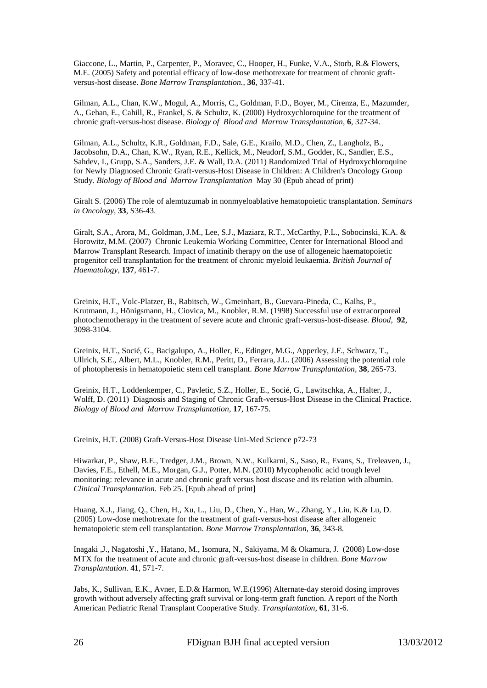[Giaccone,](http://www.ncbi.nlm.nih.gov/pubmed?term=%22Giaccone%20L%22%5BAuthor%5D) L., [Martin,](http://www.ncbi.nlm.nih.gov/pubmed?term=%22Martin%20P%22%5BAuthor%5D) P.[, Carpenter,](http://www.ncbi.nlm.nih.gov/pubmed?term=%22Carpenter%20P%22%5BAuthor%5D) P., [Moravec,](http://www.ncbi.nlm.nih.gov/pubmed?term=%22Moravec%20C%22%5BAuthor%5D) C., [Hooper,](http://www.ncbi.nlm.nih.gov/pubmed?term=%22Hooper%20H%22%5BAuthor%5D) H.[, Funke,](http://www.ncbi.nlm.nih.gov/pubmed?term=%22Funke%20VA%22%5BAuthor%5D) V.A., [Storb,](http://www.ncbi.nlm.nih.gov/pubmed?term=%22Storb%20R%22%5BAuthor%5D) R.& [Flowers,](http://www.ncbi.nlm.nih.gov/pubmed?term=%22Flowers%20ME%22%5BAuthor%5D) [M.E.](http://www.ncbi.nlm.nih.gov/pubmed?term=%22Flowers%20ME%22%5BAuthor%5D) (2005) Safety and potential efficacy of low-dose methotrexate for treatment of chronic graftversus-host disease. *[Bone Marrow Transplantation.](javascript:AL_get(this,%20)*, **36**, 337-41.

[Gilman,](http://www.ncbi.nlm.nih.gov/pubmed?term=%22Gilman%20AL%22%5BAuthor%5D) A.L., [Chan,](http://www.ncbi.nlm.nih.gov/pubmed?term=%22Chan%20KW%22%5BAuthor%5D) K.W., [Mogul,](http://www.ncbi.nlm.nih.gov/pubmed?term=%22Mogul%20A%22%5BAuthor%5D) A., [Morris,](http://www.ncbi.nlm.nih.gov/pubmed?term=%22Morris%20C%22%5BAuthor%5D) C., [Goldman,](http://www.ncbi.nlm.nih.gov/pubmed?term=%22Goldman%20FD%22%5BAuthor%5D) F.D., [Boyer,](http://www.ncbi.nlm.nih.gov/pubmed?term=%22Boyer%20M%22%5BAuthor%5D) M.[, Cirenza,](http://www.ncbi.nlm.nih.gov/pubmed?term=%22Cirenza%20E%22%5BAuthor%5D) E., [Mazumder,](http://www.ncbi.nlm.nih.gov/pubmed?term=%22Mazumder%20A%22%5BAuthor%5D) [A.](http://www.ncbi.nlm.nih.gov/pubmed?term=%22Mazumder%20A%22%5BAuthor%5D)[, Gehan,](http://www.ncbi.nlm.nih.gov/pubmed?term=%22Gehan%20E%22%5BAuthor%5D) E., [Cahill,](http://www.ncbi.nlm.nih.gov/pubmed?term=%22Cahill%20R%22%5BAuthor%5D) R., [Frankel,](http://www.ncbi.nlm.nih.gov/pubmed?term=%22Frankel%20S%22%5BAuthor%5D) S. & [Schultz,](http://www.ncbi.nlm.nih.gov/pubmed?term=%22Schultz%20K%22%5BAuthor%5D) K. (2000) Hydroxychloroquine for the treatment of chronic graft-versus-host disease. *Biology of Blood [and Marrow Transplantation](javascript:AL_get(this,%20)*, **6**, 327-34.

Gilman, A.L., Schultz, K.R., Goldman, F.D., Sale, G.E., Krailo, M.D., Chen, Z., Langholz, B., Jacobsohn, D.A., Chan, K.W., Ryan, R.E., Kellick, M., Neudorf, S.M., Godder, K., Sandler, E.S., Sahdev, I., Grupp, S.A., Sanders, J.E. & Wall, D.A. (2011) [Randomized Trial of Hydroxychloroquine](http://www.ncbi.nlm.nih.gov/pubmed/21689773)  [for Newly Diagnosed Chronic Graft-versus-Host Disease in Children: A Children's Oncology Group](http://www.ncbi.nlm.nih.gov/pubmed/21689773)  [Study.](http://www.ncbi.nlm.nih.gov/pubmed/21689773) *Biology of Blood and Marrow Transplantation* May 30 (Epub ahead of print)

Giralt S. (2006[\) The role of alemtuzumab in nonmyeloablative hematopoietic transplantation.](http://www.ncbi.nlm.nih.gov/pubmed/16720202) *Seminars in Oncology*, **33**, S36-43.

Giralt, S.A., Arora, M., Goldman, J.M., Lee, S.J., Maziarz, R.T., McCarthy, P.L., Sobocinski, K.A. & Horowitz, M.M. (2007) Chronic Leukemia Working Committee, Center for International Blood and Marrow Transplant Research. [Impact of imatinib therapy on the use of allogeneic haematopoietic](http://www.ncbi.nlm.nih.gov/pubmed/17459051)  [progenitor cell transplantation for the treatment of chronic myeloid leukaemia.](http://www.ncbi.nlm.nih.gov/pubmed/17459051) *British Journal of Haematology*, **137**, 461-7.

Greinix, H.T., Volc-Platzer, B., Rabitsch, W., Gmeinhart, B., Guevara-Pineda, C., Kalhs, P., Krutmann, J., Hönigsmann, H., Ciovica, M., Knobler, R.M. (1998) Successful use of extracorporeal photochemotherapy in the treatment of severe acute and chronic graft-versus-host-disease. *Blood*, **92**, 3098-3104.

Greinix, H.T., Socié, G., Bacigalupo, A., Holler, E., Edinger, M.G., Apperley, J.F., Schwarz, T., Ullrich, S.E., Albert, M.L., Knobler, R.M., Peritt, D., Ferrara, J.L. (2006) [Assessing the potential role](http://www.ncbi.nlm.nih.gov/pubmed/16883310)  [of photopheresis in hematopoietic stem cell transplant.](http://www.ncbi.nlm.nih.gov/pubmed/16883310) *Bone Marrow Transplantation,* **38**, 265-73.

Greinix, H.T., Loddenkemper, C., Pavletic, S.Z., Holler, E., Socié, G., Lawitschka, A., Halter, J., Wolff, D. (2011) [Diagnosis and Staging of Chronic Graft-versus-Host Disease in the Clinical Practice.](http://www.ncbi.nlm.nih.gov/pubmed/20691801) *Biology of Blood and Marrow Transplantation*, **17**, 167-75.

Greinix, H.T. (2008) Graft-Versus-Host Disease Uni-Med Science p72-73

[Hiwarkar,](http://www.ncbi.nlm.nih.gov/pubmed?term=%22Hiwarkar%20P%22%5BAuthor%5D) P., [Shaw,](http://www.ncbi.nlm.nih.gov/pubmed?term=%22Shaw%20BE%22%5BAuthor%5D) B.E., [Tredger,](http://www.ncbi.nlm.nih.gov/pubmed?term=%22Tredger%20JM%22%5BAuthor%5D) J.M., [Brown,](http://www.ncbi.nlm.nih.gov/pubmed?term=%22Brown%20NW%22%5BAuthor%5D) N.W., [Kulkarni,](http://www.ncbi.nlm.nih.gov/pubmed?term=%22Kulkarni%20S%22%5BAuthor%5D) S.[, Saso,](http://www.ncbi.nlm.nih.gov/pubmed?term=%22Saso%20R%22%5BAuthor%5D) R., [Evans,](http://www.ncbi.nlm.nih.gov/pubmed?term=%22Evans%20S%22%5BAuthor%5D) S., [Treleaven,](http://www.ncbi.nlm.nih.gov/pubmed?term=%22Treleaven%20J%22%5BAuthor%5D) J., [Davies,](http://www.ncbi.nlm.nih.gov/pubmed?term=%22Davies%20FE%22%5BAuthor%5D) F.E., [Ethell,](http://www.ncbi.nlm.nih.gov/pubmed?term=%22Ethell%20ME%22%5BAuthor%5D) M.E., [Morgan,](http://www.ncbi.nlm.nih.gov/pubmed?term=%22Morgan%20GJ%22%5BAuthor%5D) G.J., [Potter,](http://www.ncbi.nlm.nih.gov/pubmed?term=%22Potter%20MN%22%5BAuthor%5D) M.N. (2010) Mycophenolic acid trough level monitoring: relevance in acute and chronic graft versus host disease and its relation with albumin. *Clinical [Transplantation.](javascript:AL_get(this,%20)* Feb 25. [Epub ahead of print]

[Huang,](http://www.ncbi.nlm.nih.gov/pubmed?term=%22Huang%20XJ%22%5BAuthor%5D) X.J., [Jiang,](http://www.ncbi.nlm.nih.gov/pubmed?term=%22Jiang%20Q%22%5BAuthor%5D) Q.[, Chen,](http://www.ncbi.nlm.nih.gov/pubmed?term=%22Chen%20H%22%5BAuthor%5D) H.[, Xu,](http://www.ncbi.nlm.nih.gov/pubmed?term=%22Xu%20L%22%5BAuthor%5D) L., [Liu,](http://www.ncbi.nlm.nih.gov/pubmed?term=%22Liu%20D%22%5BAuthor%5D) D., [Chen,](http://www.ncbi.nlm.nih.gov/pubmed?term=%22Chen%20Y%22%5BAuthor%5D) Y.[, Han,](http://www.ncbi.nlm.nih.gov/pubmed?term=%22Han%20W%22%5BAuthor%5D) W., [Zhang,](http://www.ncbi.nlm.nih.gov/pubmed?term=%22Zhang%20Y%22%5BAuthor%5D) Y.[, Liu,](http://www.ncbi.nlm.nih.gov/pubmed?term=%22Liu%20K%22%5BAuthor%5D) K.& [Lu,](http://www.ncbi.nlm.nih.gov/pubmed?term=%22Lu%20D%22%5BAuthor%5D) D. (2005) Low-dose methotrexate for the treatment of graft-versus-host disease after allogeneic hematopoietic stem cell transplantation. *[Bone Marrow Transplantation](javascript:AL_get(this,%20)*, **36**, 343-8.

[Inagaki ,J.](http://www.ncbi.nlm.nih.gov/pubmed?term=%22Inagaki%20J%22%5BAuthor%5D), [Nagatoshi ,Y.](http://www.ncbi.nlm.nih.gov/pubmed?term=%22Nagatoshi%20Y%22%5BAuthor%5D)[, Hatano,](http://www.ncbi.nlm.nih.gov/pubmed?term=%22Hatano%20M%22%5BAuthor%5D) M., [Isomura,](http://www.ncbi.nlm.nih.gov/pubmed?term=%22Isomura%20N%22%5BAuthor%5D) N., [Sakiyama,](http://www.ncbi.nlm.nih.gov/pubmed?term=%22Sakiyama%20M%22%5BAuthor%5D) M & [Okamura,](http://www.ncbi.nlm.nih.gov/pubmed?term=%22Okamura%20J%22%5BAuthor%5D) J. (2008) Low-dose MTX for the treatment of acute and chronic graft-versus-host disease in children. *[Bone Marrow](javascript:AL_get(this,%20)  [Transplantation](javascript:AL_get(this,%20)*. **41**, 571-7.

Jabs, K., Sullivan, E.K., Avner, E.D.& Harmon, W.E.(1996) [Alternate-day steroid](http://www.ncbi.nlm.nih.gov/pubmed/8560569) dosing improves [growth without adversely affecting graft survival or long-term graft function. A report of the North](http://www.ncbi.nlm.nih.gov/pubmed/8560569)  [American Pediatric Renal Transplant Cooperative Study.](http://www.ncbi.nlm.nih.gov/pubmed/8560569) *Transplantation,* **61**, 31-6.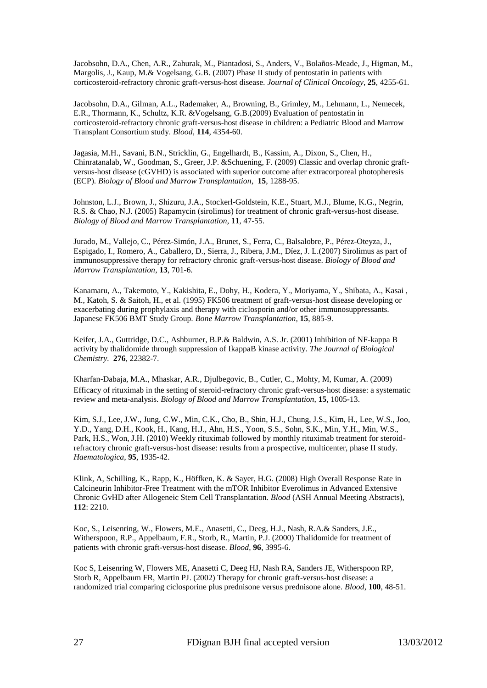Jacobsohn, D.A., Chen, A.R., Zahurak, M., Piantadosi, S., Anders, V., Bolaños-Meade, J., Higman, M., Margolis, J., Kaup, M.& Vogelsang, G.B. (2007) [Phase II study of pentostatin in patients with](http://www.ncbi.nlm.nih.gov/pubmed/17878478)  [corticosteroid-refractory chronic graft-versus-host disease.](http://www.ncbi.nlm.nih.gov/pubmed/17878478) *Journal of Clinical Oncology*, **25**, 4255-61.

Jacobsohn, D.A., Gilman, A.L., Rademaker, A., Browning, B., Grimley, M., Lehmann, L., Nemecek, E.R., Thormann, K., Schultz, K.R. &Vogelsang, G.B.(2009) [Evaluation of pentostatin in](http://www.ncbi.nlm.nih.gov/pubmed/19745067)  [corticosteroid-refractory chronic graft-versus-host disease in children: a Pediatric Blood and Marrow](http://www.ncbi.nlm.nih.gov/pubmed/19745067)  [Transplant Consortium study.](http://www.ncbi.nlm.nih.gov/pubmed/19745067) *Blood*, **114**, 4354-60.

Jagasia, M.H., Savani, B.N., Stricklin, G., Engelhardt, B., Kassim, A., Dixon, S., Chen, H., Chinratanalab, W., Goodman, S., Greer, J.P. &Schuening, F. (2009) Classic and overlap chronic graftversus-host disease (cGVHD) is associated with superior outcome after extracorporeal photopheresis (ECP). *Biology of Blood and Marrow Transplantation*, **15**, 1288-95.

Johnston, L.J., Brown, J., Shizuru, J.A., Stockerl-Goldstein, K.E., Stuart, M.J., Blume, K.G., Negrin, R.S. & Chao, N.J. (2005) [Rapamycin \(sirolimus\) for treatment of chronic graft-versus-host disease.](http://www.ncbi.nlm.nih.gov/pubmed/15625544) *Biology of Blood and Marrow Transplantation*, **11**, 47-55.

[Jurado,](http://www.ncbi.nlm.nih.gov/pubmed?term=%22Jurado%20M%22%5BAuthor%5D) M., [Vallejo,](http://www.ncbi.nlm.nih.gov/pubmed?term=%22Vallejo%20C%22%5BAuthor%5D) C., [Pérez-Simón,](http://www.ncbi.nlm.nih.gov/pubmed?term=%22P%C3%A9rez-Sim%C3%B3n%20JA%22%5BAuthor%5D) J.A., [Brunet,](http://www.ncbi.nlm.nih.gov/pubmed?term=%22Brunet%20S%22%5BAuthor%5D) S.[, Ferra,](http://www.ncbi.nlm.nih.gov/pubmed?term=%22Ferra%20C%22%5BAuthor%5D) C., [Balsalobre,](http://www.ncbi.nlm.nih.gov/pubmed?term=%22Balsalobre%20P%22%5BAuthor%5D) P., [Pérez-Oteyza,](http://www.ncbi.nlm.nih.gov/pubmed?term=%22P%C3%A9rez-Oteyza%20J%22%5BAuthor%5D) J., [Espigado,](http://www.ncbi.nlm.nih.gov/pubmed?term=%22Espigado%20I%22%5BAuthor%5D) I., [Romero,](http://www.ncbi.nlm.nih.gov/pubmed?term=%22Romero%20A%22%5BAuthor%5D) A., [Caballero,](http://www.ncbi.nlm.nih.gov/pubmed?term=%22Caballero%20D%22%5BAuthor%5D) D.[, Sierra,](http://www.ncbi.nlm.nih.gov/pubmed?term=%22Sierra%20J%22%5BAuthor%5D) J., [Ribera, J.M.](http://www.ncbi.nlm.nih.gov/pubmed?term=%22Ribera%20JM%22%5BAuthor%5D), [Díez,](http://www.ncbi.nlm.nih.gov/pubmed?term=%22D%C3%ADez%20JL%22%5BAuthor%5D) J. L.(2007) Sirolimus as part of immunosuppressive therapy for refractory chronic graft-versus-host disease. *[Biology of Blood and](javascript:AL_get(this,%20)  [Marrow Transplantation](javascript:AL_get(this,%20)*, **13**, 701-6.

[Kanamaru,](http://www.ncbi.nlm.nih.gov/pubmed?term=%22Kanamaru%20A%22%5BAuthor%5D) A., [Takemoto,](http://www.ncbi.nlm.nih.gov/pubmed?term=%22Takemoto%20Y%22%5BAuthor%5D) Y.[, Kakishita,](http://www.ncbi.nlm.nih.gov/pubmed?term=%22Kakishita%20E%22%5BAuthor%5D) E.[, Dohy,](http://www.ncbi.nlm.nih.gov/pubmed?term=%22Dohy%20H%22%5BAuthor%5D) H.[, Kodera,](http://www.ncbi.nlm.nih.gov/pubmed?term=%22Kodera%20Y%22%5BAuthor%5D) Y.[, Moriyama,](http://www.ncbi.nlm.nih.gov/pubmed?term=%22Moriyama%20Y%22%5BAuthor%5D) Y., [Shibata,](http://www.ncbi.nlm.nih.gov/pubmed?term=%22Shibata%20A%22%5BAuthor%5D) A.[, Kasai ,](http://www.ncbi.nlm.nih.gov/pubmed?term=%22Kasai%20M%22%5BAuthor%5D)  [M.](http://www.ncbi.nlm.nih.gov/pubmed?term=%22Kasai%20M%22%5BAuthor%5D), [Katoh,](http://www.ncbi.nlm.nih.gov/pubmed?term=%22Katoh%20S%22%5BAuthor%5D) S. & [Saitoh,](http://www.ncbi.nlm.nih.gov/pubmed?term=%22Saitoh%20H%22%5BAuthor%5D) H., et al. (1995) FK506 treatment of graft-versus-host disease developing or exacerbating during prophylaxis and therapy with ciclosporin and/or other immunosuppressants. Japanese FK506 BMT Study Group. *[Bone Marrow Transplantation,](javascript:AL_get(this,%20)* **15**, 885-9.

[Keifer,](http://www.ncbi.nlm.nih.gov/pubmed?term=%22Keifer%20JA%22%5BAuthor%5D) J.A.[, Guttridge,](http://www.ncbi.nlm.nih.gov/pubmed?term=%22Guttridge%20DC%22%5BAuthor%5D) D.C., [Ashburner,](http://www.ncbi.nlm.nih.gov/pubmed?term=%22Ashburner%20BP%22%5BAuthor%5D) B.P.& [Baldwin,](http://www.ncbi.nlm.nih.gov/pubmed?term=%22Baldwin%20AS%20Jr%22%5BAuthor%5D) A.S. Jr. (2001) Inhibition of NF-kappa B activity by thalidomide through suppression of IkappaB kinase activity. *The Journal of [Biological](javascript:AL_get(this,%20) [Chemistry.](javascript:AL_get(this,%20)* **276**, 22382-7.

Kharfan-Dabaja, M.A., Mhaskar, A.R., Djulbegovic, B., Cutler, C., Mohty, M, Kumar, A. (2009) [Efficacy of rituximab in the setting of steroid-refractory chronic graft-versus-host disease: a systematic](http://www.ncbi.nlm.nih.gov/pubmed/19660713)  [review and meta-analysis.](http://www.ncbi.nlm.nih.gov/pubmed/19660713) *Biology of Blood and Marrow Transplantation*, **15**, 1005-13.

Kim, S.J., Lee, J.W., Jung, C.W., Min, C.K., Cho, B., Shin, H.J., Chung, J.S., Kim, H., Lee, W.S., Joo, Y.D., Yang, D.H., Kook, H., Kang, H.J., Ahn, H.S., Yoon, S.S., Sohn, S.K., Min, Y.H., Min, W.S., Park, H.S., Won, J.H. (2010) [Weekly rituximab followed by monthly rituximab treatment for steroid](http://www.ncbi.nlm.nih.gov/pubmed/20663943)[refractory chronic graft-versus-host disease: results from a prospective, multicenter, phase II study.](http://www.ncbi.nlm.nih.gov/pubmed/20663943) *Haematologica*, **95**, 1935-42.

Klink, A, Schilling, K., Rapp, K., Höffken, K. & Sayer, H.G. (2008) High Overall Response Rate in Calcineurin Inhibitor-Free Treatment with the mTOR Inhibitor Everolimus in Advanced Extensive Chronic GvHD after Allogeneic Stem Cell Transplantation. *Blood* (ASH Annual Meeting Abstracts), **112**: 2210.

Koc, S., Leisenring, W., Flowers, M.E., Anasetti, C., Deeg, H.J., Nash, R.A.& Sanders, J.E., Witherspoon, R.P., Appelbaum, F.R., Storb, R., Martin, P.J. (2000) [Thalidomide for treatment of](http://www.ncbi.nlm.nih.gov/pubmed/11090092)  [patients with chronic graft-versus-host disease.](http://www.ncbi.nlm.nih.gov/pubmed/11090092) *Blood*, **96**, 3995-6.

Koc S, Leisenring W, Flowers ME, Anasetti C, Deeg HJ, Nash RA, Sanders JE, Witherspoon RP, Storb R, Appelbaum FR, Martin PJ. (2002) [Therapy for chronic graft-versus-host disease: a](http://www.ncbi.nlm.nih.gov/pubmed/12070007)  randomized trial comparing ciclosporine [plus prednisone versus prednisone alone.](http://www.ncbi.nlm.nih.gov/pubmed/12070007) *Blood*, **100**, 48-51.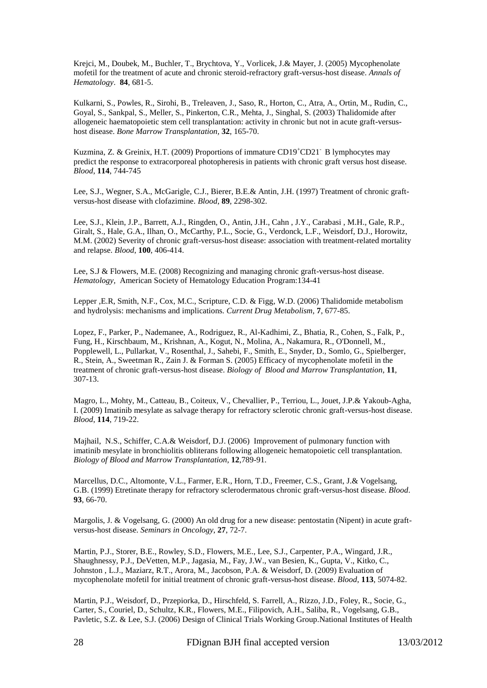[Krejci,](http://www.ncbi.nlm.nih.gov/pubmed?term=%22Krejci%20M%22%5BAuthor%5D) M.[, Doubek,](http://www.ncbi.nlm.nih.gov/pubmed?term=%22Doubek%20M%22%5BAuthor%5D) M., [Buchler,](http://www.ncbi.nlm.nih.gov/pubmed?term=%22Buchler%20T%22%5BAuthor%5D) T.[, Brychtova,](http://www.ncbi.nlm.nih.gov/pubmed?term=%22Brychtova%20Y%22%5BAuthor%5D) Y., [Vorlicek,](http://www.ncbi.nlm.nih.gov/pubmed?term=%22Vorlicek%20J%22%5BAuthor%5D) J.& [Mayer,](http://www.ncbi.nlm.nih.gov/pubmed?term=%22Mayer%20J%22%5BAuthor%5D) J. (2005) Mycophenolate mofetil for the treatment of acute and chronic steroid-refractory graft-versus-host disease. *[Annals of](javascript:AL_get(this,%20) [Hematology](javascript:AL_get(this,%20)*. **84**, 681-5.

[Kulkarni,](http://www.ncbi.nlm.nih.gov/pubmed?term=%22Kulkarni%20S%22%5BAuthor%5D) S., [Powles,](http://www.ncbi.nlm.nih.gov/pubmed?term=%22Powles%20R%22%5BAuthor%5D) R.[, Sirohi,](http://www.ncbi.nlm.nih.gov/pubmed?term=%22Sirohi%20B%22%5BAuthor%5D) B., [Treleaven,](http://www.ncbi.nlm.nih.gov/pubmed?term=%22Treleaven%20J%22%5BAuthor%5D) J.[, Saso,](http://www.ncbi.nlm.nih.gov/pubmed?term=%22Saso%20R%22%5BAuthor%5D) R.[, Horton,](http://www.ncbi.nlm.nih.gov/pubmed?term=%22Horton%20C%22%5BAuthor%5D) C., [Atra,](http://www.ncbi.nlm.nih.gov/pubmed?term=%22Atra%20A%22%5BAuthor%5D) A.[, Ortin,](http://www.ncbi.nlm.nih.gov/pubmed?term=%22Ortin%20M%22%5BAuthor%5D) M., [Rudin,](http://www.ncbi.nlm.nih.gov/pubmed?term=%22Rudin%20C%22%5BAuthor%5D) C., [Goyal,](http://www.ncbi.nlm.nih.gov/pubmed?term=%22Goyal%20S%22%5BAuthor%5D) S., [Sankpal,](http://www.ncbi.nlm.nih.gov/pubmed?term=%22Sankpal%20S%22%5BAuthor%5D) S., [Meller,](http://www.ncbi.nlm.nih.gov/pubmed?term=%22Meller%20S%22%5BAuthor%5D) S.[, Pinkerton,](http://www.ncbi.nlm.nih.gov/pubmed?term=%22Pinkerton%20CR%22%5BAuthor%5D) C.R.[, Mehta,](http://www.ncbi.nlm.nih.gov/pubmed?term=%22Mehta%20J%22%5BAuthor%5D) J.[, Singhal,](http://www.ncbi.nlm.nih.gov/pubmed?term=%22Singhal%20S%22%5BAuthor%5D) S. (2003) Thalidomide after allogeneic haematopoietic stem cell transplantation: activity in chronic but not in acute graft-versushost disease. *[Bone Marrow Transplantation,](javascript:AL_get(this,%20)* **32**, 165-70.

Kuzmina, Z. & Greinix, H.T. (2009) Proportions of immature CD19<sup>+</sup>CD21<sup>-</sup> B lymphocytes may predict the response to extracorporeal photopheresis in patients with chronic graft versus host disease. *Blood*, **114**, 744-745

Lee, S.J., Wegner, S.A., McGarigle, C.J., Bierer, B.E.& Antin, J.H. (1997) [Treatment of chronic graft](http://www.ncbi.nlm.nih.gov/pubmed/9116272)[versus-host disease with clofazimine.](http://www.ncbi.nlm.nih.gov/pubmed/9116272) *Blood*, **89**, 2298-302.

Lee, S.J., Klein, J.P., Barrett, A.J., Ringden, O., Antin, J.H., Cahn , J.Y., Carabasi , M.H., Gale, R.P., Giralt, S., Hale, G.A., Ilhan, O., McCarthy, P.L., Socie, G., Verdonck, L.F., Weisdorf, D.J., Horowitz, M.M. (2002) Severity of chronic graft-versus-host disease: association with treatment-related mortality and relapse. *Blood*, **100**, 406-414.

Lee, S.J & Flowers, M.E. (2008) [Recognizing and managing chronic graft-versus-host disease.](http://www.ncbi.nlm.nih.gov/pubmed/19074071) *Hematology,* American Society of Hematology Education Program:134-41

Lepper ,E.R, Smith, N.F., Cox, M.C., Scripture, C.D. & Figg, W.D. (2006) [Thalidomide metabolism](http://www.ncbi.nlm.nih.gov/pubmed/16918319)  [and hydrolysis: mechanisms and implications.](http://www.ncbi.nlm.nih.gov/pubmed/16918319) *Current Drug Metabolism*, **7**, 677-85.

Lopez, F., Parker, P., Nademanee, A., Rodriguez, R., Al-Kadhimi, Z., Bhatia, R., Cohen, S., Falk, P., Fung, H., Kirschbaum, M., Krishnan, A., Kogut, N., Molina, A., Nakamura, R., O'Donnell, M., Popplewell, L., Pullarkat, V., Rosenthal, J., Sahebi, F., Smith, E., Snyder, D., Somlo, G., Spielberger, R., Stein, A., Sweetman R., Zain J. & Forman S. (2005) [Efficacy of mycophenolate mofetil in the](http://www.ncbi.nlm.nih.gov/pubmed/15812396)  [treatment of chronic graft-versus-host disease.](http://www.ncbi.nlm.nih.gov/pubmed/15812396) *Biology of Blood and Marrow Transplantation*, **11**, 307-13.

Magro, L., Mohty, M., Catteau, B., Coiteux, V., Chevallier, P., Terriou, L., Jouet, J.P.& Yakoub-Agha, I. (2009) [Imatinib mesylate as salvage therapy for refractory sclerotic chronic graft-versus-host disease.](http://www.ncbi.nlm.nih.gov/pubmed/19289852) *Blood*, **114**, 719-22.

[Majhail, N.S.](http://www.ncbi.nlm.nih.gov/pubmed?term=%22Majhail%20NS%22%5BAuthor%5D), [Schiffer,](http://www.ncbi.nlm.nih.gov/pubmed?term=%22Schiffer%20CA%22%5BAuthor%5D) C.A.& [Weisdorf,](http://www.ncbi.nlm.nih.gov/pubmed?term=%22Weisdorf%20DJ%22%5BAuthor%5D) D.J. (2006) Improvement of pulmonary function with imatinib mesylate in bronchiolitis obliterans following allogeneic hematopoietic cell transplantation. *Biology of Blood [and Marrow Transplantation](http://www.ncbi.nlm.nih.gov/pubmed?term=majhail%20imatinib##)*, **12**,789-91.

[Marcellus,](http://www.ncbi.nlm.nih.gov/pubmed?term=%22Marcellus%20DC%22%5BAuthor%5D) D.C., [Altomonte,](http://www.ncbi.nlm.nih.gov/pubmed?term=%22Altomonte%20VL%22%5BAuthor%5D) V.L., [Farmer,](http://www.ncbi.nlm.nih.gov/pubmed?term=%22Farmer%20ER%22%5BAuthor%5D) E.R.[, Horn,](http://www.ncbi.nlm.nih.gov/pubmed?term=%22Horn%20TD%22%5BAuthor%5D) T.D.[, Freemer,](http://www.ncbi.nlm.nih.gov/pubmed?term=%22Freemer%20CS%22%5BAuthor%5D) C.S., [Grant,](http://www.ncbi.nlm.nih.gov/pubmed?term=%22Grant%20J%22%5BAuthor%5D) J.& [Vogelsang,](http://www.ncbi.nlm.nih.gov/pubmed?term=%22Vogelsang%20GB%22%5BAuthor%5D) [G.B.](http://www.ncbi.nlm.nih.gov/pubmed?term=%22Vogelsang%20GB%22%5BAuthor%5D) (1999) Etretinate therapy for refractory sclerodermatous chronic graft-versus-host disease. *[Blood](javascript:AL_get(this,%20)*. **93**, 66-70.

Margolis, J. & Vogelsang, G. (2000) [An old drug for a new disease: pentostatin \(Nipent\) in acute graft](http://www.ncbi.nlm.nih.gov/pubmed/10877057)[versus-host disease.](http://www.ncbi.nlm.nih.gov/pubmed/10877057) *Seminars in Oncology*, **27**, 72-7.

Martin, P.J., Storer, B.E., Rowley, S.D., Flowers, M.E., Lee, S.J., Carpenter, P.A., Wingard, J.R., Shaughnessy, P.J., DeVetten, M.P., Jagasia, M., Fay, J.W., van Besien, K., Gupta, V., Kitko, C., Johnston , L.J., Maziarz, R.T., Arora, M., Jacobson, P.A. & Weisdorf, D. (2009) [Evaluation of](http://www.ncbi.nlm.nih.gov/pubmed/19270260)  [mycophenolate mofetil for initial treatment of chronic graft-versus-host disease.](http://www.ncbi.nlm.nih.gov/pubmed/19270260) *Blood*, **113**, 5074-82.

Martin, P.J., Weisdorf, D., Przepiorka, D., Hirschfeld, S. Farrell, A., Rizzo, J.D., Foley, R., Socie, G., Carter, S., Couriel, D., Schultz, K.R., Flowers, M.E., Filipovich, A.H., Saliba, R., Vogelsang, G.B., Pavletic, S.Z. & Lee, S.J. (2006) Design of Clinical Trials Working Group[.National Institutes of Health](http://www.ncbi.nlm.nih.gov/pubmed/16635784)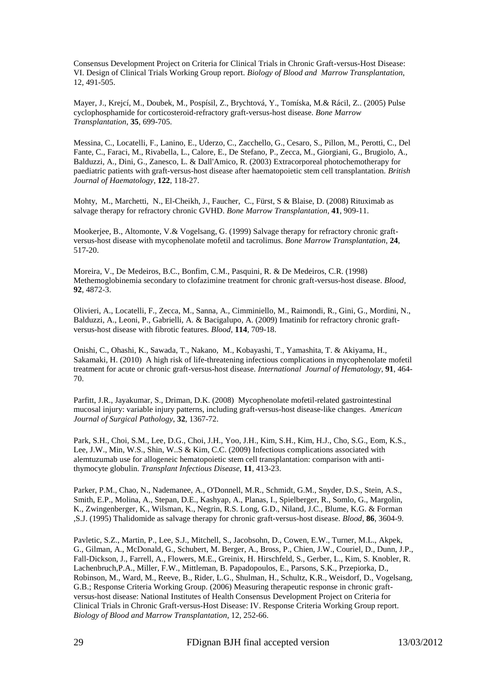Consensus Development Project on Criteria for Clinical Trials in Chronic Graft-versus-Host Disease: VI. Design of Clinical Trials Working Group report. *Biology of Blood and Marrow Transplantation*, 12, 491-505.

[Mayer,](http://www.ncbi.nlm.nih.gov/pubmed?term=%22Mayer%20J%22%5BAuthor%5D) J.[, Krejcí,](http://www.ncbi.nlm.nih.gov/pubmed?term=%22Krejc%C3%AD%20M%22%5BAuthor%5D) M., [Doubek,](http://www.ncbi.nlm.nih.gov/pubmed?term=%22Doubek%20M%22%5BAuthor%5D) M., [Pospísil,](http://www.ncbi.nlm.nih.gov/pubmed?term=%22Posp%C3%ADsil%20Z%22%5BAuthor%5D) Z., [Brychtová, Y.](http://www.ncbi.nlm.nih.gov/pubmed?term=%22Brychtov%C3%A1%20Y%22%5BAuthor%5D)[, Tomíska,](http://www.ncbi.nlm.nih.gov/pubmed?term=%22Tom%C3%ADska%20M%22%5BAuthor%5D) M.& [Rácil,](http://www.ncbi.nlm.nih.gov/pubmed?term=%22R%C3%A1cil%20Z%22%5BAuthor%5D) Z.. (2005) Pulse cyclophosphamide for corticosteroid-refractory graft-versus-host disease. *[Bone Marrow](javascript:AL_get(this,%20)  [Transplantation](javascript:AL_get(this,%20)*, **35**, 699-705.

Messina, C., Locatelli, F., Lanino, E., Uderzo, C., Zacchello, G., Cesaro, S., Pillon, M., Perotti, C., Del Fante, C., Faraci, M., Rivabella, L., Calore, E., De Stefano, P., Zecca, M., Giorgiani, G., Brugiolo, A., Balduzzi, A., Dini, G., Zanesco, L. & Dall'Amico, R. (2003) [Extracorporeal photochemotherapy for](http://www.ncbi.nlm.nih.gov/pubmed/12823353?itool=EntrezSystem2.PEntrez.Pubmed.Pubmed_ResultsPanel.Pubmed_RVDocSum&ordinalpos=4)  paediatric patients with [graft-versus-host disease after haematopoietic stem cell transplantation.](http://www.ncbi.nlm.nih.gov/pubmed/12823353?itool=EntrezSystem2.PEntrez.Pubmed.Pubmed_ResultsPanel.Pubmed_RVDocSum&ordinalpos=4) *British Journal of Haematology*, **122**, 118-27.

[Mohty, M.](http://www.ncbi.nlm.nih.gov/pubmed?term=%22Mohty%20M%22%5BAuthor%5D), [Marchetti, N.](http://www.ncbi.nlm.nih.gov/pubmed?term=%22Marchetti%20N%22%5BAuthor%5D)[, El-Cheikh,](http://www.ncbi.nlm.nih.gov/pubmed?term=%22El-Cheikh%20J%22%5BAuthor%5D) J., [Faucher, C.](http://www.ncbi.nlm.nih.gov/pubmed?term=%22Faucher%20C%22%5BAuthor%5D), [Fürst,](http://www.ncbi.nlm.nih.gov/pubmed?term=%22F%C3%BCrst%20S%22%5BAuthor%5D) S & [Blaise,](http://www.ncbi.nlm.nih.gov/pubmed?term=%22Blaise%20D%22%5BAuthor%5D) D. (2008) Rituximab as salvage therapy for refractory chronic GVHD. *[Bone Marrow Transplantation,](javascript:AL_get(this,%20)* **41**, 909-11.

[Mookerjee,](http://www.ncbi.nlm.nih.gov/pubmed?term=%22Mookerjee%20B%22%5BAuthor%5D) B.[, Altomonte,](http://www.ncbi.nlm.nih.gov/pubmed?term=%22Altomonte%20V%22%5BAuthor%5D) V.& [Vogelsang,](http://www.ncbi.nlm.nih.gov/pubmed?term=%22Vogelsang%20G%22%5BAuthor%5D) G. (1999) Salvage therapy for refractory chronic graftversus-host disease with mycophenolate mofetil and tacrolimus. *[Bone Marrow Transplantation](javascript:AL_get(this,%20)*, **24**, 517-20.

Moreira, V., De Medeiros, B.C., Bonfim, C.M., Pasquini, R. & De Medeiros, C.R. (1998) [Methemoglobinemia secondary to clofazimine treatment for chronic graft-versus-host disease.](http://www.ncbi.nlm.nih.gov/pubmed/9988544) *Blood,*  **92**, 4872-3.

Olivieri, A., Locatelli, F., Zecca, M., Sanna, A., Cimminiello, M., Raimondi, R., Gini, G., Mordini, N., Balduzzi, A., Leoni, P., Gabrielli, A. & Bacigalupo, A. (2009[\) Imatinib for refractory chronic graft](http://www.ncbi.nlm.nih.gov/pubmed/19403889)[versus-host disease with fibrotic features.](http://www.ncbi.nlm.nih.gov/pubmed/19403889) *Blood*, **114**, 709-18.

Onishi, C., Ohashi, K., Sawada, T., Nakano, M., Kobayashi, T., Yamashita, T. & Akiyama, H., Sakamaki, H. (2010) [A high risk of life-threatening infectious complications in mycophenolate mofetil](http://www.ncbi.nlm.nih.gov/pubmed/20217287)  [treatment for acute or chronic graft-versus-host disease.](http://www.ncbi.nlm.nih.gov/pubmed/20217287) *International Journal of Hematology*, **91**, 464- 70.

Parfitt, J.R., Jayakumar, S., Driman, D.K. (2008) [Mycophenolate mofetil-related gastrointestinal](http://www.ncbi.nlm.nih.gov/pubmed/18763324)  [mucosal injury: variable injury patterns, including graft-versus-host disease-like changes.](http://www.ncbi.nlm.nih.gov/pubmed/18763324) *American Journal of Surgical Pathology*, **32**, 1367-72.

Park, S.H., Choi, S.M., Lee, D.G., Choi, J.H., Yoo, J.H., Kim, S.H., Kim, H.J., Cho, S.G., Eom, K.S., Lee, J.W., Min, W.S., Shin, W..S & Kim, C.C. (2009) [Infectious complications associated with](http://www.ncbi.nlm.nih.gov/pubmed/19708893)  alemtuzumab [use for allogeneic hematopoietic stem cell transplantation: comparison with anti](http://www.ncbi.nlm.nih.gov/pubmed/19708893)[thymocyte globulin.](http://www.ncbi.nlm.nih.gov/pubmed/19708893) *Transplant Infectious Disease*, **11**, 413-23.

Parker, P.M., Chao, N., Nademanee, A., O'Donnell, M.R., Schmidt, G.M., Snyder, D.S., Stein, A.S., Smith, E.P., Molina, A., Stepan, D.E., Kashyap, A., Planas, I., Spielberger, R., Somlo, G., Margolin, K., Zwingenberger, K., Wilsman, K., Negrin, R.S. Long, G.D., Niland, J.C., Blume, K.G. & Forman ,S.J. (1995[\) Thalidomide as salvage therapy for chronic graft-versus-host disease.](http://www.ncbi.nlm.nih.gov/pubmed/7579470) *Blood*, **86**, 3604-9.

Pavletic, S.Z., Martin, P., Lee, S.J., Mitchell, S., Jacobsohn, D., Cowen, E.W., Turner, M.L., Akpek, G., Gilman, A., McDonald, G., Schubert, M. Berger, A., Bross, P., Chien, J.W., Couriel, D., Dunn, J.P., Fall-Dickson, J., Farrell, A., Flowers, M.E., Greinix, H. Hirschfeld, S., Gerber, L., Kim, S. Knobler, R. Lachenbruch,P.A., Miller, F.W., Mittleman, B. Papadopoulos, E., Parsons, S.K., Przepiorka, D., Robinson, M., Ward, M., Reeve, B., Rider, L.G., Shulman, H., Schultz, K.R., Weisdorf, D., Vogelsang, G.B.; Response Criteria Working Group. (2006) [Measuring therapeutic response in chronic graft](http://www.ncbi.nlm.nih.gov/pubmed/16503494)[versus-host disease: National Institutes of Health Consensus Development Project on Criteria for](http://www.ncbi.nlm.nih.gov/pubmed/16503494)  [Clinical Trials in Chronic Graft-versus-Host Disease: IV. Response Criteria Working Group report.](http://www.ncbi.nlm.nih.gov/pubmed/16503494) *Biology of Blood and Marrow Transplantation*, 12, 252-66.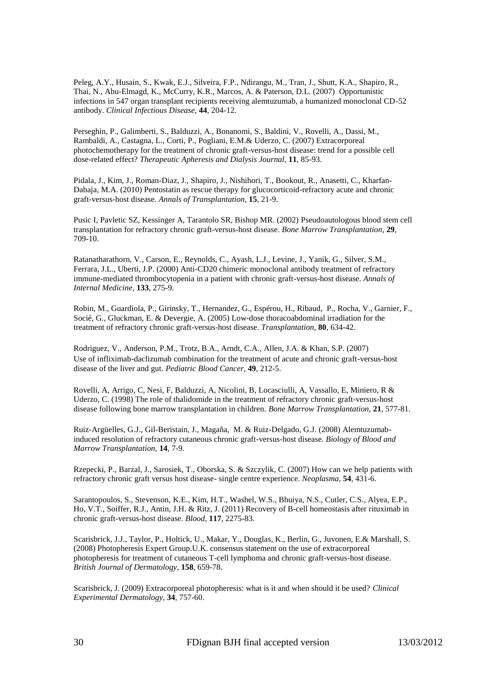[Peleg,](http://www.ncbi.nlm.nih.gov/pubmed?term=%22Peleg%20AY%22%5BAuthor%5D) A.Y.[, Husain,](http://www.ncbi.nlm.nih.gov/pubmed?term=%22Husain%20S%22%5BAuthor%5D) S., [Kwak,](http://www.ncbi.nlm.nih.gov/pubmed?term=%22Kwak%20EJ%22%5BAuthor%5D) E.J., [Silveira,](http://www.ncbi.nlm.nih.gov/pubmed?term=%22Silveira%20FP%22%5BAuthor%5D) F.P., [Ndirangu,](http://www.ncbi.nlm.nih.gov/pubmed?term=%22Ndirangu%20M%22%5BAuthor%5D) M., [Tran,](http://www.ncbi.nlm.nih.gov/pubmed?term=%22Tran%20J%22%5BAuthor%5D) J.[, Shutt,](http://www.ncbi.nlm.nih.gov/pubmed?term=%22Shutt%20KA%22%5BAuthor%5D) K.A., [Shapiro,](http://www.ncbi.nlm.nih.gov/pubmed?term=%22Shapiro%20R%22%5BAuthor%5D) R., [Thai,](http://www.ncbi.nlm.nih.gov/pubmed?term=%22Thai%20N%22%5BAuthor%5D) N., [Abu-Elmagd,](http://www.ncbi.nlm.nih.gov/pubmed?term=%22Abu-Elmagd%20K%22%5BAuthor%5D) K., [McCurry,](http://www.ncbi.nlm.nih.gov/pubmed?term=%22McCurry%20KR%22%5BAuthor%5D) K.R., [Marcos,](http://www.ncbi.nlm.nih.gov/pubmed?term=%22Marcos%20A%22%5BAuthor%5D) A. & [Paterson,](http://www.ncbi.nlm.nih.gov/pubmed?term=%22Paterson%20DL%22%5BAuthor%5D) D.L. (2007) Opportunistic infections in 547 organ transplant recipients receiving alemtuzumab, a humanized monoclonal CD-52 antibody. *[Clinical Infectious](http://www.ncbi.nlm.nih.gov/pubmed?term=peleg%20alemtuzumab) Disease*, **44**, 204-12.

Perseghin, P., Galimberti, S., Balduzzi, A., Bonanomi, S., Baldini, V., Rovelli, A., Dassi, M., Rambaldi, A., Castagna, L., Corti, P., Pogliani, E.M.& Uderzo, C. (2007) [Extracorporeal](http://www.ncbi.nlm.nih.gov/pubmed/17381528) [photochemotherapy for the treatment of chronic graft-versus-host disease: trend for a possible cell](http://www.ncbi.nlm.nih.gov/pubmed/17381528)  [dose-related effect?](http://www.ncbi.nlm.nih.gov/pubmed/17381528) *Therapeutic Apheresis and Dialysis Journal*, **11**, 85-93.

[Pidala,](http://www.ncbi.nlm.nih.gov/pubmed?term=%22Pidala%20J%22%5BAuthor%5D) J., [Kim,](http://www.ncbi.nlm.nih.gov/pubmed?term=%22Kim%20J%22%5BAuthor%5D) J.[, Roman-Diaz,](http://www.ncbi.nlm.nih.gov/pubmed?term=%22Roman-Diaz%20J%22%5BAuthor%5D) J., [Shapiro,](http://www.ncbi.nlm.nih.gov/pubmed?term=%22Shapiro%20J%22%5BAuthor%5D) J.[, Nishihori,](http://www.ncbi.nlm.nih.gov/pubmed?term=%22Nishihori%20T%22%5BAuthor%5D) T., [Bookout,](http://www.ncbi.nlm.nih.gov/pubmed?term=%22Bookout%20R%22%5BAuthor%5D) R.[, Anasetti,](http://www.ncbi.nlm.nih.gov/pubmed?term=%22Anasetti%20C%22%5BAuthor%5D) C., [Kharfan-](http://www.ncbi.nlm.nih.gov/pubmed?term=%22Kharfan-Dabaja%20MA%22%5BAuthor%5D)[Dabaja,](http://www.ncbi.nlm.nih.gov/pubmed?term=%22Kharfan-Dabaja%20MA%22%5BAuthor%5D) M.A. (2010) Pentostatin as rescue therapy for glucocorticoid-refractory acute and chronic graft-versus-host disease. *Annals of [Transplantation,](javascript:AL_get(this,%20)* **15**, 21-9.

Pusic I, Pavletic SZ, Kessinger A, Tarantolo SR, Bishop MR. (2002) [Pseudoautologous blood stem cell](http://www.ncbi.nlm.nih.gov/pubmed/12180118)  [transplantation for refractory chronic graft-versus-host disease.](http://www.ncbi.nlm.nih.gov/pubmed/12180118) *Bone Marrow Transplantation,* **29**, 709-10.

[Ratanatharathorn,](http://www.ncbi.nlm.nih.gov/pubmed?term=%22Ratanatharathorn%20V%22%5BAuthor%5D) V.[, Carson, E.](http://www.ncbi.nlm.nih.gov/pubmed?term=%22Carson%20E%22%5BAuthor%5D)[, Reynolds, C.](http://www.ncbi.nlm.nih.gov/pubmed?term=%22Reynolds%20C%22%5BAuthor%5D), [Ayash, L.J.](http://www.ncbi.nlm.nih.gov/pubmed?term=%22Ayash%20LJ%22%5BAuthor%5D), [Levine, J.](http://www.ncbi.nlm.nih.gov/pubmed?term=%22Levine%20J%22%5BAuthor%5D), [Yanik, G.](http://www.ncbi.nlm.nih.gov/pubmed?term=%22Yanik%20G%22%5BAuthor%5D), [Silver, S.M.](http://www.ncbi.nlm.nih.gov/pubmed?term=%22Silver%20SM%22%5BAuthor%5D), [Ferrara, J.L.,](http://www.ncbi.nlm.nih.gov/pubmed?term=%22Ferrara%20JL%22%5BAuthor%5D) [Uberti, J.P.](http://www.ncbi.nlm.nih.gov/pubmed?term=%22Uberti%20JP%22%5BAuthor%5D) (2000) Anti-CD20 chimeric monoclonal antibody treatment of refractory immune-mediated thrombocytopenia in a patient with chronic graft-versus-host disease. *Annals of Internal Medicine*, **133**, 275-9.

[Robin,](http://www.ncbi.nlm.nih.gov/pubmed?term=%22Robin%20M%22%5BAuthor%5D) M., [Guardiola,](http://www.ncbi.nlm.nih.gov/pubmed?term=%22Guardiola%20P%22%5BAuthor%5D) P., [Girinsky,](http://www.ncbi.nlm.nih.gov/pubmed?term=%22Girinsky%20T%22%5BAuthor%5D) T.[, Hernandez,](http://www.ncbi.nlm.nih.gov/pubmed?term=%22Hernandez%20G%22%5BAuthor%5D) G.[, Espérou, H.](http://www.ncbi.nlm.nih.gov/pubmed?term=%22Esp%C3%A9rou%20H%22%5BAuthor%5D), [Ribaud, P.](http://www.ncbi.nlm.nih.gov/pubmed?term=%22Ribaud%20P%22%5BAuthor%5D)[, Rocha,](http://www.ncbi.nlm.nih.gov/pubmed?term=%22Rocha%20V%22%5BAuthor%5D) V.[, Garnier,](http://www.ncbi.nlm.nih.gov/pubmed?term=%22Garnier%20F%22%5BAuthor%5D) F., [Socié,](http://www.ncbi.nlm.nih.gov/pubmed?term=%22Soci%C3%A9%20G%22%5BAuthor%5D) G., [Gluckman,](http://www.ncbi.nlm.nih.gov/pubmed?term=%22Gluckman%20E%22%5BAuthor%5D) E. & [Devergie,](http://www.ncbi.nlm.nih.gov/pubmed?term=%22Devergie%20A%22%5BAuthor%5D) A. (2005) Low-dose thoracoabdominal irradiation for the treatment of refractory chronic graft-versus-host disease. *[Transplantation](javascript:AL_get(this,%20)*, **80**, 634-42.

Rodriguez, V., Anderson, P.M., Trotz, B.A., Arndt, C.A., Allen, J.A. & Khan, S.P. (2007) [Use of infliximab-daclizumab combination for the treatment of acute and chronic graft-versus-host](http://www.ncbi.nlm.nih.gov/pubmed/16261610)  [disease of the liver and gut.](http://www.ncbi.nlm.nih.gov/pubmed/16261610) *Pediatric Blood Cancer,* **49**, 212-5.

Rovelli, A, Arrigo, C, Nesi, F, Balduzzi, A, Nicolini, B, Locasciulli, A, Vassallo, E, Miniero, R & Uderzo, C. (1998) [The role of thalidomide in the treatment of refractory chronic graft-versus-host](http://www.ncbi.nlm.nih.gov/pubmed/9543061)  [disease following bone marrow transplantation in children.](http://www.ncbi.nlm.nih.gov/pubmed/9543061) *Bone Marrow Transplantation*, **21**, 577-81.

[Ruiz-Argüelles,](http://www.ncbi.nlm.nih.gov/pubmed?term=%22Ruiz-Arg%C3%BCelles%20GJ%22%5BAuthor%5D) G.J., [Gil-Beristain,](http://www.ncbi.nlm.nih.gov/pubmed?term=%22Gil-Beristain%20J%22%5BAuthor%5D) J., [Magaña,](http://www.ncbi.nlm.nih.gov/pubmed?term=%22Maga%C3%B1a%20M%22%5BAuthor%5D) M. & [Ruiz-Delgado,](http://www.ncbi.nlm.nih.gov/pubmed?term=%22Ruiz-Delgado%20GJ%22%5BAuthor%5D) G.J. (2008) Alemtuzumabinduced resolution of refractory cutaneous chronic graft-versus-host disease*. [Biology of](javascript:AL_get(this,%20) Blood and [Marrow Transplantation,](javascript:AL_get(this,%20)* **14**, 7-9.

[Rzepecki,](http://www.ncbi.nlm.nih.gov/pubmed?term=%22Rzepecki%20P%22%5BAuthor%5D) P., [Barzal,](http://www.ncbi.nlm.nih.gov/pubmed?term=%22Barzal%20J%22%5BAuthor%5D) J., [Sarosiek,](http://www.ncbi.nlm.nih.gov/pubmed?term=%22Sarosiek%20T%22%5BAuthor%5D) T., [Oborska,](http://www.ncbi.nlm.nih.gov/pubmed?term=%22Oborska%20S%22%5BAuthor%5D) S. & [Szczylik,](http://www.ncbi.nlm.nih.gov/pubmed?term=%22Szczylik%20C%22%5BAuthor%5D) C. (2007) How can we help patients with refractory chronic graft versus host disease- single centre experience. *[Neoplasma,](javascript:AL_get(this,%20)* **54**, 431-6.

Sarantopoulos, S., Stevenson, K.E., Kim, H.T., Washel, W.S., Bhuiya, N.S., Cutler, C.S., Alyea, E.P., Ho, V.T., Soiffer, R.J., Antin, J.H. & Ritz, J. (2011) [Recovery of B-cell homeostasis after rituximab in](http://www.ncbi.nlm.nih.gov/pubmed/21097674)  [chronic graft-versus-host disease.](http://www.ncbi.nlm.nih.gov/pubmed/21097674) *Blood*, **117**, 2275-83.

Scarisbrick, J.J., Taylor, P., Holtick, U., [Makar, Y.](http://www.ncbi.nlm.nih.gov/pubmed?term=%22Makar%20Y%22%5BAuthor%5D), [Douglas, K.](http://www.ncbi.nlm.nih.gov/pubmed?term=%22Douglas%20K%22%5BAuthor%5D), [Berlin, G.](http://www.ncbi.nlm.nih.gov/pubmed?term=%22Berlin%20G%22%5BAuthor%5D), [Juvonen, E.](http://www.ncbi.nlm.nih.gov/pubmed?term=%22Juvonen%20E%22%5BAuthor%5D)& [Marshall, S.](http://www.ncbi.nlm.nih.gov/pubmed?term=%22Marshall%20S%22%5BAuthor%5D) (2008) Photopheresis Expert Group[.U.K. consensus statement on the use of extracorporeal](http://www.ncbi.nlm.nih.gov/pubmed/18241274?itool=EntrezSystem2.PEntrez.Pubmed.Pubmed_ResultsPanel.Pubmed_RVDocSum&ordinalpos=2)  [photopheresis for treatment of cutaneous T-cell lymphoma and chronic graft-versus-host disease.](http://www.ncbi.nlm.nih.gov/pubmed/18241274?itool=EntrezSystem2.PEntrez.Pubmed.Pubmed_ResultsPanel.Pubmed_RVDocSum&ordinalpos=2) *British Journal of Dermatology*, **158**, 659-78.

Scarisbrick, J. (2009) [Extracorporeal photopheresis: what is it and when should it be used?](http://www.ncbi.nlm.nih.gov/pubmed/19663836) *Clinical Experimental Dermatology*, **34**, 757-60.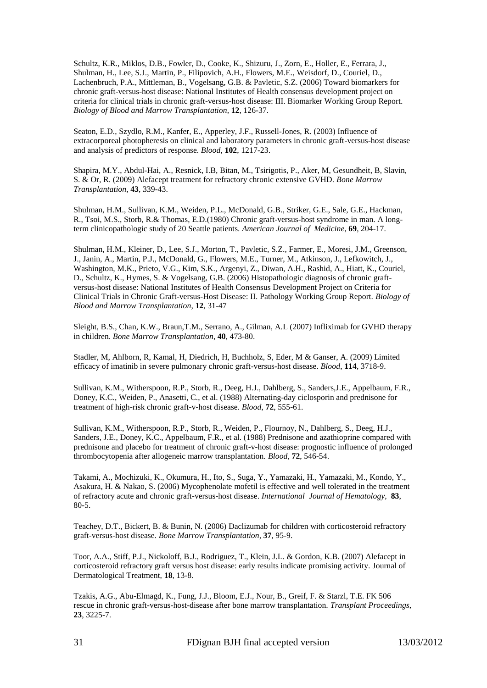Schultz, K.R., Miklos, D.B., Fowler, D., Cooke, K., Shizuru, J., Zorn, E., Holler, E., Ferrara, J., Shulman, H., Lee, S.J., Martin, P., Filipovich, A.H., Flowers, M.E., Weisdorf, D., Couriel, D., Lachenbruch, P.A., Mittleman, B., Vogelsang, G.B. & Pavletic, S.Z. (2006) [Toward biomarkers for](http://www.ncbi.nlm.nih.gov/pubmed/16443511)  [chronic graft-versus-host disease: National Institutes of Health consensus development project on](http://www.ncbi.nlm.nih.gov/pubmed/16443511)  [criteria for clinical trials in chronic graft-versus-host disease: III. Biomarker Working Group Report.](http://www.ncbi.nlm.nih.gov/pubmed/16443511) *Biology of Blood and Marrow Transplantation*, **12**, 126-37.

[Seaton,](http://www.ncbi.nlm.nih.gov/pubmed?term=%22Seaton%20ED%22%5BAuthor%5D) E.D.[, Szydlo, R.M.,](http://www.ncbi.nlm.nih.gov/pubmed?term=%22Szydlo%20RM%22%5BAuthor%5D) [Kanfer, E.](http://www.ncbi.nlm.nih.gov/pubmed?term=%22Kanfer%20E%22%5BAuthor%5D), [Apperley, J.F.,](http://www.ncbi.nlm.nih.gov/pubmed?term=%22Apperley%20JF%22%5BAuthor%5D) [Russell-Jones, R.](http://www.ncbi.nlm.nih.gov/pubmed?term=%22Russell-Jones%20R%22%5BAuthor%5D) (2003) Influence of extracorporeal photopheresis on clinical and laboratory parameters in chronic graft-versus-host disease and analysis of predictors of response. *[Blood,](http://www.ncbi.nlm.nih.gov/pubmed?term=seaton%20ecp##)* **102**, 1217-23.

Shapira, M.Y., Abdul-Hai, A., Resnick, I.B, Bitan, M., Tsirigotis, P., Aker, M, Gesundheit, B, Slavin, S. & Or, R. (2009) [Alefacept treatment for refractory chronic extensive GVHD.](http://www.ncbi.nlm.nih.gov/pubmed/18850020) *Bone Marrow Transplantation*, **43**, 339-43.

[Shulman,](http://www.ncbi.nlm.nih.gov/pubmed?term=%22Shulman%20HM%22%5BAuthor%5D) H.M.[, Sullivan,](http://www.ncbi.nlm.nih.gov/pubmed?term=%22Sullivan%20KM%22%5BAuthor%5D) K.M., [Weiden,](http://www.ncbi.nlm.nih.gov/pubmed?term=%22Weiden%20PL%22%5BAuthor%5D) P.L., [McDonald,](http://www.ncbi.nlm.nih.gov/pubmed?term=%22McDonald%20GB%22%5BAuthor%5D) G.B.[, Striker,](http://www.ncbi.nlm.nih.gov/pubmed?term=%22Striker%20GE%22%5BAuthor%5D) G.E., [Sale,](http://www.ncbi.nlm.nih.gov/pubmed?term=%22Sale%20GE%22%5BAuthor%5D) G.E.[, Hackman,](http://www.ncbi.nlm.nih.gov/pubmed?term=%22Hackman%20R%22%5BAuthor%5D) [R.](http://www.ncbi.nlm.nih.gov/pubmed?term=%22Hackman%20R%22%5BAuthor%5D), [Tsoi,](http://www.ncbi.nlm.nih.gov/pubmed?term=%22Tsoi%20MS%22%5BAuthor%5D) M.S.[, Storb,](http://www.ncbi.nlm.nih.gov/pubmed?term=%22Storb%20R%22%5BAuthor%5D) R.& [Thomas,](http://www.ncbi.nlm.nih.gov/pubmed?term=%22Thomas%20ED%22%5BAuthor%5D) E.D.(1980) Chronic graft-versus-host syndrome in man. A longterm clinicopathologic study of 20 Seattle patients. *American [Journal of](javascript:AL_get(this,%20) Medicine*, **69**, 204-17.

Shulman, H.M., Kleiner, D., Lee, S.J., Morton, T., Pavletic, S.Z., Farmer, E., Moresi, J.M., Greenson, J., Janin, A., Martin, P.J., McDonald, G., Flowers, M.E., Turner, M., Atkinson, J., Lefkowitch, J., Washington, M.K., Prieto, V.G., Kim, S.K., Argenyi, Z., Diwan, A.H., Rashid, A., Hiatt, K., Couriel, D., Schultz, K., Hymes, S. & Vogelsang, G.B. (2006) [Histopathologic diagnosis of chronic graft](http://www.ncbi.nlm.nih.gov/pubmed/16399567)[versus-host disease: National Institutes of Health Consensus](http://www.ncbi.nlm.nih.gov/pubmed/16399567) Development Project on Criteria for [Clinical Trials in Chronic Graft-versus-Host Disease: II. Pathology Working Group Report.](http://www.ncbi.nlm.nih.gov/pubmed/16399567) *Biology of Blood and Marrow Transplantation*, **12**, 31-47

[Sleight,](http://www.ncbi.nlm.nih.gov/pubmed?term=%22Sleight%20BS%22%5BAuthor%5D) B.S.[, Chan,](http://www.ncbi.nlm.nih.gov/pubmed?term=%22Chan%20KW%22%5BAuthor%5D) K.W., [Braun,T.M.](http://www.ncbi.nlm.nih.gov/pubmed?term=%22Braun%20TM%22%5BAuthor%5D), [Serrano,](http://www.ncbi.nlm.nih.gov/pubmed?term=%22Serrano%20A%22%5BAuthor%5D) A., [Gilman,](http://www.ncbi.nlm.nih.gov/pubmed?term=%22Gilman%20AL%22%5BAuthor%5D) A.L (2007) Infliximab for GVHD therapy in children. *[Bone Marrow Transplantation](javascript:AL_get(this,%20)*, **40**, 473-80.

Stadler, M, Ahlborn, R, Kamal, H, Diedrich, H, Buchholz, S, Eder, M & Ganser, A. (2009) [Limited](http://www.ncbi.nlm.nih.gov/pubmed/19850751)  [efficacy of imatinib in severe pulmonary chronic graft-versus-host disease.](http://www.ncbi.nlm.nih.gov/pubmed/19850751) *Blood*, **114**, 3718-9.

[Sullivan,](http://www.ncbi.nlm.nih.gov/pubmed?term=%22Sullivan%20KM%22%5BAuthor%5D) K.M., [Witherspoon,](http://www.ncbi.nlm.nih.gov/pubmed?term=%22Witherspoon%20RP%22%5BAuthor%5D) R.P., [Storb,](http://www.ncbi.nlm.nih.gov/pubmed?term=%22Storb%20R%22%5BAuthor%5D) R., [Deeg,](http://www.ncbi.nlm.nih.gov/pubmed?term=%22Deeg%20HJ%22%5BAuthor%5D) H.J., [Dahlberg,](http://www.ncbi.nlm.nih.gov/pubmed?term=%22Dahlberg%20S%22%5BAuthor%5D) S.[, Sanders,J.E.,](http://www.ncbi.nlm.nih.gov/pubmed?term=%22Sanders%20JE%22%5BAuthor%5D) [Appelbaum,](http://www.ncbi.nlm.nih.gov/pubmed?term=%22Appelbaum%20FR%22%5BAuthor%5D) F.R., [Doney,](http://www.ncbi.nlm.nih.gov/pubmed?term=%22Doney%20KC%22%5BAuthor%5D) K.C., [Weiden,](http://www.ncbi.nlm.nih.gov/pubmed?term=%22Weiden%20P%22%5BAuthor%5D) P.[, Anasetti,](http://www.ncbi.nlm.nih.gov/pubmed?term=%22Anasetti%20C%22%5BAuthor%5D) C., et al. (1988) Alternating-day ciclosporin and prednisone for treatment of high-risk chronic graft-v-host disease. *[Blood](javascript:AL_get(this,%20)*, **72**, 555-61.

[Sullivan,](http://www.ncbi.nlm.nih.gov/pubmed?term=%22Sullivan%20KM%22%5BAuthor%5D) K.M., [Witherspoon,](http://www.ncbi.nlm.nih.gov/pubmed?term=%22Witherspoon%20RP%22%5BAuthor%5D) R.P., [Storb,](http://www.ncbi.nlm.nih.gov/pubmed?term=%22Storb%20R%22%5BAuthor%5D) R., [Weiden,](http://www.ncbi.nlm.nih.gov/pubmed?term=%22Weiden%20P%22%5BAuthor%5D) P., [Flournoy,](http://www.ncbi.nlm.nih.gov/pubmed?term=%22Flournoy%20N%22%5BAuthor%5D) N.[, Dahlberg,](http://www.ncbi.nlm.nih.gov/pubmed?term=%22Dahlberg%20S%22%5BAuthor%5D) S., [Deeg, H.J.](http://www.ncbi.nlm.nih.gov/pubmed?term=%22Deeg%20HJ%22%5BAuthor%5D), [Sanders,](http://www.ncbi.nlm.nih.gov/pubmed?term=%22Sanders%20JE%22%5BAuthor%5D) J.E.[, Doney,](http://www.ncbi.nlm.nih.gov/pubmed?term=%22Doney%20KC%22%5BAuthor%5D) K.C., [Appelbaum,](http://www.ncbi.nlm.nih.gov/pubmed?term=%22Appelbaum%20FR%22%5BAuthor%5D) F.R., et al. (1988) Prednisone and azathioprine compared with prednisone and placebo for treatment of chronic graft-v-host disease: prognostic influence of prolonged thrombocytopenia after allogeneic marrow transplantation. *[Blood](javascript:AL_get(this,%20)*, **72**, 546-54.

Takami, A., Mochizuki, K., Okumura, H., Ito, S., Suga, Y., Yamazaki, H., Yamazaki, M., Kondo, Y., Asakura, H. & Nakao, S. (2006[\) Mycophenolate mofetil is effective and well tolerated in the treatment](http://www.ncbi.nlm.nih.gov/pubmed/16443558)  [of refractory acute and chronic graft-versus-host disease.](http://www.ncbi.nlm.nih.gov/pubmed/16443558) *International Journal of Hematology,* **83**, 80-5.

[Teachey,](http://www.ncbi.nlm.nih.gov/pubmed?term=%22Teachey%20DT%22%5BAuthor%5D) D.T., [Bickert,](http://www.ncbi.nlm.nih.gov/pubmed?term=%22Bickert%20B%22%5BAuthor%5D) B. [& Bunin,](http://www.ncbi.nlm.nih.gov/pubmed?term=%22Bunin%20N%22%5BAuthor%5D) N. (2006) Daclizumab for children with corticosteroid refractory graft-versus-host disease. *[Bone Marrow Transplantation,](javascript:AL_get(this,%20)* **37**, 95-9.

[Toor,](http://www.ncbi.nlm.nih.gov/pubmed?term=%22Toor%20AA%22%5BAuthor%5D) A.A., [Stiff,](http://www.ncbi.nlm.nih.gov/pubmed?term=%22Stiff%20PJ%22%5BAuthor%5D) P.J., [Nickoloff,](http://www.ncbi.nlm.nih.gov/pubmed?term=%22Nickoloff%20BJ%22%5BAuthor%5D) B.J.[, Rodriguez,](http://www.ncbi.nlm.nih.gov/pubmed?term=%22Rodriguez%20T%22%5BAuthor%5D) T., [Klein,](http://www.ncbi.nlm.nih.gov/pubmed?term=%22Klein%20JL%22%5BAuthor%5D) J.L. & [Gordon,](http://www.ncbi.nlm.nih.gov/pubmed?term=%22Gordon%20KB%22%5BAuthor%5D) K.B. (2007) Alefacept in corticosteroid refractory graft versus host disease: early results indicate promising activity. [Journal of](javascript:AL_get(this,%20)  [Dermatological](javascript:AL_get(this,%20) Treatment, **18**, 13-8.

[Tzakis,](http://www.ncbi.nlm.nih.gov/pubmed?term=%22Tzakis%20AG%22%5BAuthor%5D) A.G., [Abu-Elmagd,](http://www.ncbi.nlm.nih.gov/pubmed?term=%22Abu-Elmagd%20K%22%5BAuthor%5D) K.[, Fung,](http://www.ncbi.nlm.nih.gov/pubmed?term=%22Fung%20JJ%22%5BAuthor%5D) J.J., [Bloom,](http://www.ncbi.nlm.nih.gov/pubmed?term=%22Bloom%20EJ%22%5BAuthor%5D) E.J., [Nour,](http://www.ncbi.nlm.nih.gov/pubmed?term=%22Nour%20B%22%5BAuthor%5D) B., [Greif,](http://www.ncbi.nlm.nih.gov/pubmed?term=%22Greif%20F%22%5BAuthor%5D) F. & [Starzl,](http://www.ncbi.nlm.nih.gov/pubmed?term=%22Starzl%20TE%22%5BAuthor%5D) T.E. FK 506 rescue in chronic graft-versus-host-disease after bone marrow transplantation. *[Transplant Proceedings](javascript:AL_get(this,%20)*, **23**, 3225-7.